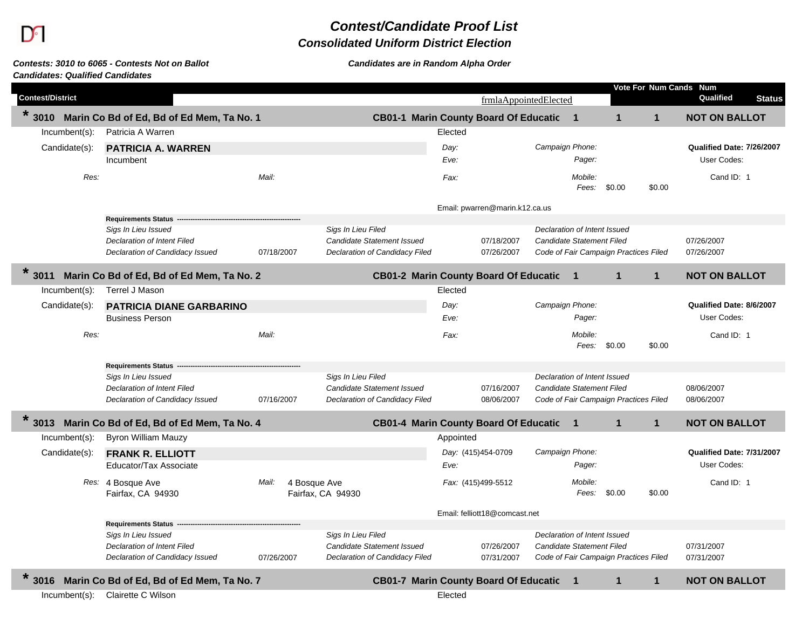# $\mathbf{D}$

## *Contest/Candidate Proof List*

### *Consolidated Uniform District Election*

#### *Candidates: Qualified CandidatesContests: 3010 to 6065 - Contests Not on Ballot Candidates are in Random Alpha Order*

|                         |                                                |            |                                   |                                              |                    |                                |                              |              |                                       |              | Vote For Num Cands Num     |
|-------------------------|------------------------------------------------|------------|-----------------------------------|----------------------------------------------|--------------------|--------------------------------|------------------------------|--------------|---------------------------------------|--------------|----------------------------|
| <b>Contest/District</b> |                                                |            |                                   |                                              |                    | frmlaAppointedElected          |                              |              |                                       |              | Qualified<br><b>Status</b> |
| $*3010$                 | Marin Co Bd of Ed, Bd of Ed Mem, Ta No. 1      |            |                                   | CB01-1 Marin County Board Of Educatic 1      |                    |                                |                              |              | 1                                     | 1            | <b>NOT ON BALLOT</b>       |
| Incumbent(s):           | Patricia A Warren                              |            |                                   |                                              | Elected            |                                |                              |              |                                       |              |                            |
| Candidate(s):           | <b>PATRICIA A. WARREN</b>                      |            |                                   |                                              | Day:               |                                | Campaign Phone:              |              |                                       |              | Qualified Date: 7/26/2007  |
|                         | Incumbent                                      |            |                                   |                                              | Eve:               |                                |                              | Pager:       |                                       |              | User Codes:                |
| Res:                    |                                                | Mail:      |                                   |                                              | Fax:               |                                |                              | Mobile:      |                                       |              | Cand ID: 1                 |
|                         |                                                |            |                                   |                                              |                    |                                |                              | Fees:        | \$0.00                                | \$0.00       |                            |
|                         |                                                |            |                                   |                                              |                    | Email: pwarren@marin.k12.ca.us |                              |              |                                       |              |                            |
|                         | <b>Requirements Status</b>                     |            |                                   |                                              |                    |                                |                              |              |                                       |              |                            |
|                         | Sigs In Lieu Issued                            |            | Sigs In Lieu Filed                |                                              |                    |                                | Declaration of Intent Issued |              |                                       |              |                            |
|                         | Declaration of Intent Filed                    |            | Candidate Statement Issued        |                                              |                    | 07/18/2007                     | Candidate Statement Filed    |              |                                       |              | 07/26/2007                 |
|                         | Declaration of Candidacy Issued                | 07/18/2007 |                                   | Declaration of Candidacy Filed               |                    | 07/26/2007                     |                              |              | Code of Fair Campaign Practices Filed |              | 07/26/2007                 |
| $*3011$                 | Marin Co Bd of Ed, Bd of Ed Mem, Ta No. 2      |            |                                   | <b>CB01-2 Marin County Board Of Educatic</b> |                    |                                |                              | $\mathbf{1}$ | $\mathbf{1}$                          | $\mathbf{1}$ | <b>NOT ON BALLOT</b>       |
| $Incumbent(s)$ :        | Terrel J Mason                                 |            |                                   |                                              | Elected            |                                |                              |              |                                       |              |                            |
| Candidate(s):           | PATRICIA DIANE GARBARINO                       |            |                                   |                                              | Day:               |                                | Campaign Phone:              |              |                                       |              | Qualified Date: 8/6/2007   |
|                         | <b>Business Person</b>                         |            |                                   |                                              | Eve:               |                                |                              | Pager:       |                                       |              | User Codes:                |
| Res:                    |                                                | Mail:      |                                   |                                              | Fax:               |                                |                              | Mobile:      |                                       |              | Cand ID: 1                 |
|                         |                                                |            |                                   |                                              |                    |                                |                              | Fees:        | \$0.00                                | \$0.00       |                            |
|                         | <b>Requirements Status</b>                     |            |                                   |                                              |                    |                                |                              |              |                                       |              |                            |
|                         | Sigs In Lieu Issued                            |            | Sigs In Lieu Filed                |                                              |                    |                                | Declaration of Intent Issued |              |                                       |              |                            |
|                         | Declaration of Intent Filed                    |            | <b>Candidate Statement Issued</b> |                                              |                    | 07/16/2007                     | Candidate Statement Filed    |              |                                       |              | 08/06/2007                 |
|                         | Declaration of Candidacy Issued                | 07/16/2007 |                                   | Declaration of Candidacy Filed               |                    | 08/06/2007                     |                              |              | Code of Fair Campaign Practices Filed |              | 08/06/2007                 |
| $\ast$<br>3013          | Marin Co Bd of Ed, Bd of Ed Mem, Ta No. 4      |            |                                   | <b>CB01-4 Marin County Board Of Educatic</b> |                    |                                |                              | $\mathbf 1$  | $\mathbf{1}$                          | $\mathbf{1}$ | <b>NOT ON BALLOT</b>       |
| $Incumbent(s)$ :        | <b>Byron William Mauzy</b>                     |            |                                   |                                              | Appointed          |                                |                              |              |                                       |              |                            |
| Candidate(s):           | <b>FRANK R. ELLIOTT</b>                        |            |                                   |                                              | Day: (415)454-0709 |                                | Campaign Phone:              |              |                                       |              | Qualified Date: 7/31/2007  |
|                         | Educator/Tax Associate                         |            |                                   |                                              | Eve:               |                                |                              | Pager:       |                                       |              | User Codes:                |
|                         | Res: 4 Bosque Ave                              | Mail:      | 4 Bosque Ave                      |                                              |                    | Fax: (415)499-5512             |                              | Mobile:      |                                       |              | Cand ID: 1                 |
|                         | Fairfax, CA 94930                              |            | Fairfax, CA 94930                 |                                              |                    |                                |                              | Fees:        | \$0.00                                | \$0.00       |                            |
|                         |                                                |            |                                   |                                              |                    | Email: felliott18@comcast.net  |                              |              |                                       |              |                            |
|                         | <b>Requirements Status</b>                     |            |                                   |                                              |                    |                                |                              |              |                                       |              |                            |
|                         | Sigs In Lieu Issued                            |            | Sigs In Lieu Filed                |                                              |                    |                                | Declaration of Intent Issued |              |                                       |              |                            |
|                         | Declaration of Intent Filed                    |            | Candidate Statement Issued        |                                              |                    | 07/26/2007                     | Candidate Statement Filed    |              |                                       |              | 07/31/2007                 |
|                         | Declaration of Candidacy Issued                | 07/26/2007 |                                   | Declaration of Candidacy Filed               |                    | 07/31/2007                     |                              |              | Code of Fair Campaign Practices Filed |              | 07/31/2007                 |
|                         | 3016 Marin Co Bd of Ed, Bd of Ed Mem, Ta No. 7 |            |                                   | <b>CB01-7 Marin County Board Of Educatic</b> |                    |                                |                              | 1            | $\mathbf{1}$                          | $\mathbf{1}$ | <b>NOT ON BALLOT</b>       |
| $Incumbent(s)$ :        | Clairette C Wilson                             |            |                                   |                                              | Elected            |                                |                              |              |                                       |              |                            |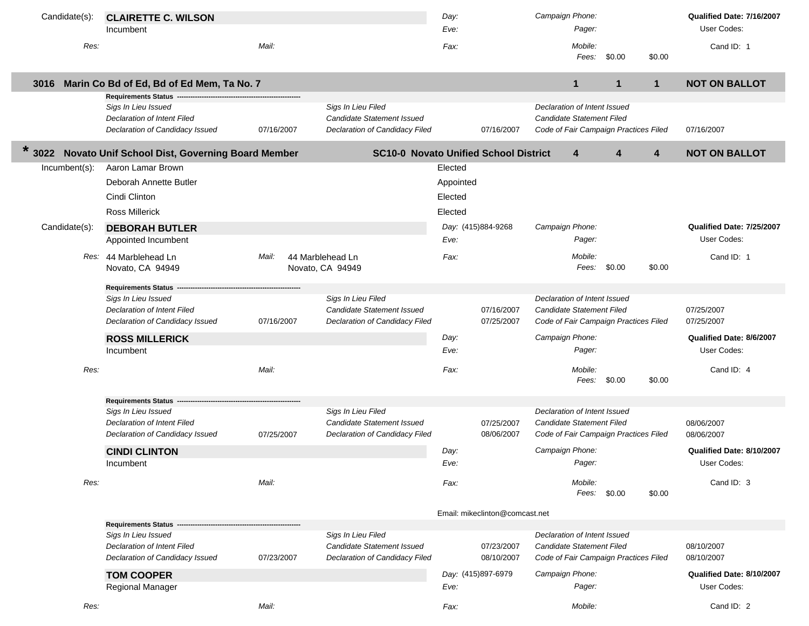| Candidate(s):  | <b>CLAIRETTE C. WILSON</b>                                            |            |                                                                     | Day:      |                                | Campaign Phone:                                                    |              |              |              | Qualified Date: 7/16/2007 |
|----------------|-----------------------------------------------------------------------|------------|---------------------------------------------------------------------|-----------|--------------------------------|--------------------------------------------------------------------|--------------|--------------|--------------|---------------------------|
|                | Incumbent                                                             |            |                                                                     | Eve:      |                                | Pager:                                                             |              |              |              | User Codes:               |
| Res:           |                                                                       | Mail:      |                                                                     | Fax:      |                                | Mobile:                                                            | Fees:        | \$0.00       | \$0.00       | Cand ID: 1                |
| 3016           | Marin Co Bd of Ed, Bd of Ed Mem, Ta No. 7                             |            |                                                                     |           |                                | 1                                                                  |              | $\mathbf{1}$ | $\mathbf{1}$ | <b>NOT ON BALLOT</b>      |
|                | <b>Requirements Status</b>                                            |            |                                                                     |           |                                |                                                                    |              |              |              |                           |
|                | Sigs In Lieu Issued<br><b>Declaration of Intent Filed</b>             |            | Sigs In Lieu Filed<br><b>Candidate Statement Issued</b>             |           |                                | Declaration of Intent Issued<br>Candidate Statement Filed          |              |              |              |                           |
|                | Declaration of Candidacy Issued                                       | 07/16/2007 | Declaration of Candidacy Filed                                      |           | 07/16/2007                     | Code of Fair Campaign Practices Filed                              |              |              |              | 07/16/2007                |
| $\ast$<br>3022 | Novato Unif School Dist, Governing Board Member                       |            | <b>SC10-0 Novato Unified School District</b>                        |           |                                | 4                                                                  |              | 4            | 4            | <b>NOT ON BALLOT</b>      |
| Incumbent(s):  | Aaron Lamar Brown                                                     |            |                                                                     | Elected   |                                |                                                                    |              |              |              |                           |
|                | Deborah Annette Butler                                                |            |                                                                     | Appointed |                                |                                                                    |              |              |              |                           |
|                | Cindi Clinton                                                         |            |                                                                     | Elected   |                                |                                                                    |              |              |              |                           |
|                | <b>Ross Millerick</b>                                                 |            |                                                                     | Elected   |                                |                                                                    |              |              |              |                           |
| Candidate(s):  | <b>DEBORAH BUTLER</b>                                                 |            |                                                                     |           | Day: (415)884-9268             | Campaign Phone:                                                    |              |              |              | Qualified Date: 7/25/2007 |
|                | Appointed Incumbent                                                   |            |                                                                     | Eve:      |                                | Pager:                                                             |              |              |              | User Codes:               |
|                | Res: 44 Marblehead Ln                                                 | Mail:      | 44 Marblehead Ln                                                    | Fax:      |                                | Mobile:                                                            |              |              |              | Cand ID: 1                |
|                | Novato, CA 94949                                                      |            | Novato, CA 94949                                                    |           |                                |                                                                    | Fees:        | \$0.00       | \$0.00       |                           |
|                | <b>Requirements Status</b>                                            |            |                                                                     |           |                                |                                                                    |              |              |              |                           |
|                | Sigs In Lieu Issued                                                   |            | Sigs In Lieu Filed                                                  |           |                                | Declaration of Intent Issued                                       |              |              |              |                           |
|                | Declaration of Intent Filed                                           |            | Candidate Statement Issued                                          |           | 07/16/2007                     | Candidate Statement Filed                                          |              |              |              | 07/25/2007                |
|                | Declaration of Candidacy Issued                                       | 07/16/2007 | Declaration of Candidacy Filed                                      |           | 07/25/2007                     | Code of Fair Campaign Practices Filed                              |              |              |              | 07/25/2007                |
|                | <b>ROSS MILLERICK</b>                                                 |            |                                                                     | Day:      |                                | Campaign Phone:                                                    |              |              |              | Qualified Date: 8/6/2007  |
|                | Incumbent                                                             |            |                                                                     | Eve:      |                                | Pager:                                                             |              |              |              | User Codes:               |
| Res:           |                                                                       | Mail:      |                                                                     | Fax:      |                                | Mobile:                                                            |              |              |              | Cand ID: 4                |
|                |                                                                       |            |                                                                     |           |                                |                                                                    | Fees:        | \$0.00       | \$0.00       |                           |
|                | <b>Requirements Status</b>                                            |            |                                                                     |           |                                |                                                                    |              |              |              |                           |
|                | Sigs In Lieu Issued                                                   |            | Sigs In Lieu Filed                                                  |           |                                | Declaration of Intent Issued                                       |              |              |              |                           |
|                | <b>Declaration of Intent Filed</b><br>Declaration of Candidacy Issued | 07/25/2007 | <b>Candidate Statement Issued</b><br>Declaration of Candidacy Filed |           | 07/25/2007<br>08/06/2007       | Candidate Statement Filed<br>Code of Fair Campaign Practices Filed |              |              |              | 08/06/2007<br>08/06/2007  |
|                | <b>CINDI CLINTON</b>                                                  |            |                                                                     | Day:      |                                | Campaign Phone:                                                    |              |              |              | Qualified Date: 8/10/2007 |
|                | Incumbent                                                             |            |                                                                     | Eve:      |                                | Pager:                                                             |              |              |              | User Codes:               |
| Res:           |                                                                       | Mail:      |                                                                     | Fax:      |                                | Mobile:                                                            |              |              |              | Cand ID: 3                |
|                |                                                                       |            |                                                                     |           |                                |                                                                    | Fees: \$0.00 |              | \$0.00       |                           |
|                |                                                                       |            |                                                                     |           | Email: mikeclinton@comcast.net |                                                                    |              |              |              |                           |
|                | <b>Requirements Status</b><br>Sigs In Lieu Issued                     |            | Sigs In Lieu Filed                                                  |           |                                | Declaration of Intent Issued                                       |              |              |              |                           |
|                | <b>Declaration of Intent Filed</b>                                    |            | <b>Candidate Statement Issued</b>                                   |           | 07/23/2007                     | Candidate Statement Filed                                          |              |              |              | 08/10/2007                |
|                | Declaration of Candidacy Issued                                       | 07/23/2007 | Declaration of Candidacy Filed                                      |           | 08/10/2007                     | Code of Fair Campaign Practices Filed                              |              |              |              | 08/10/2007                |
|                | <b>TOM COOPER</b>                                                     |            |                                                                     |           | Day: (415)897-6979             | Campaign Phone:                                                    |              |              |              | Qualified Date: 8/10/2007 |
|                | Regional Manager                                                      |            |                                                                     | Eve:      |                                | Pager:                                                             |              |              |              | User Codes:               |
| Res:           |                                                                       | Mail:      |                                                                     | Fax:      |                                | Mobile:                                                            |              |              |              | Cand ID: 2                |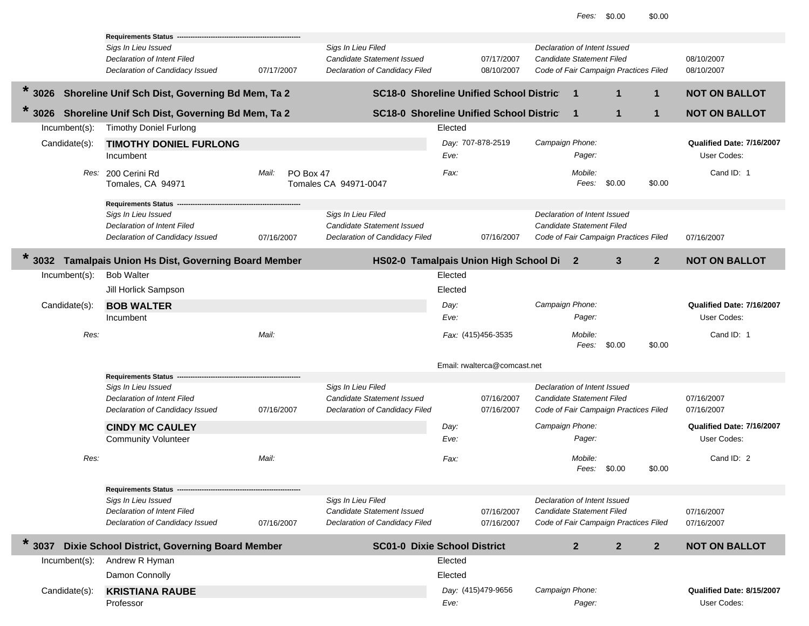| Candidate(s):                             | Damon Connolly<br><b>KRISTIANA RAUBE</b><br>Professor                                                                                         |                    |                                                                                           | Elected<br>Eve:                    | Day: (415)479-9656           | Campaign Phone:                                                              | Pager:                     |                                       |                | Qualified Date: 8/15/2007<br>User Codes:                             |
|-------------------------------------------|-----------------------------------------------------------------------------------------------------------------------------------------------|--------------------|-------------------------------------------------------------------------------------------|------------------------------------|------------------------------|------------------------------------------------------------------------------|----------------------------|---------------------------------------|----------------|----------------------------------------------------------------------|
| $\star$<br>3037<br>$Incumbent(s)$ :       | Dixie School District, Governing Board Member<br>Andrew R Hyman                                                                               |                    | <b>SC01-0 Dixie School District</b>                                                       | Elected                            |                              |                                                                              | $\mathbf{2}$               | $\mathbf{2}$                          | $\mathbf{2}$   | <b>NOT ON BALLOT</b>                                                 |
|                                           | <b>Requirements Status -</b><br>Sigs In Lieu Issued<br>Declaration of Intent Filed<br>Declaration of Candidacy Issued                         | 07/16/2007         | Sigs In Lieu Filed<br>Candidate Statement Issued<br>Declaration of Candidacy Filed        |                                    | 07/16/2007<br>07/16/2007     | Declaration of Intent Issued<br>Candidate Statement Filed                    |                            | Code of Fair Campaign Practices Filed |                | 07/16/2007<br>07/16/2007                                             |
| Res:                                      |                                                                                                                                               | Mail:              |                                                                                           | Fax:                               |                              |                                                                              | Mobile:<br>Fees:           | \$0.00                                | \$0.00         | Cand ID: 2                                                           |
|                                           | Sigs In Lieu Issued<br>Declaration of Intent Filed<br>Declaration of Candidacy Issued<br><b>CINDY MC CAULEY</b><br><b>Community Volunteer</b> | 07/16/2007         | Sigs In Lieu Filed<br><b>Candidate Statement Issued</b><br>Declaration of Candidacy Filed | Day:<br>Eve:                       | 07/16/2007<br>07/16/2007     | Declaration of Intent Issued<br>Candidate Statement Filed<br>Campaign Phone: | Pager:                     | Code of Fair Campaign Practices Filed |                | 07/16/2007<br>07/16/2007<br>Qualified Date: 7/16/2007<br>User Codes: |
|                                           | <b>Requirements Status</b>                                                                                                                    |                    |                                                                                           |                                    | Email: rwalterca@comcast.net |                                                                              |                            |                                       |                |                                                                      |
| $Incumbent(s)$ :<br>Candidate(s):<br>Res: | <b>Bob Walter</b><br>Jill Horlick Sampson<br><b>BOB WALTER</b><br>Incumbent                                                                   | Mail:              |                                                                                           | Elected<br>Elected<br>Day:<br>Eve: | Fax: (415)456-3535           | Campaign Phone:                                                              | Pager:<br>Mobile:<br>Fees: | \$0.00                                | \$0.00         | Qualified Date: 7/16/2007<br>User Codes:<br>Cand ID: 1               |
| $\ast$<br>3032                            | Tamalpais Union Hs Dist, Governing Board Member                                                                                               |                    | HS02-0 Tamalpais Union High School Di 2                                                   |                                    |                              |                                                                              |                            | 3                                     | 2 <sup>2</sup> | <b>NOT ON BALLOT</b>                                                 |
|                                           | Requirements Status -<br>Sigs In Lieu Issued<br>Declaration of Intent Filed<br>Declaration of Candidacy Issued                                | 07/16/2007         | Sigs In Lieu Filed<br><b>Candidate Statement Issued</b><br>Declaration of Candidacy Filed |                                    | 07/16/2007                   | Declaration of Intent Issued<br><b>Candidate Statement Filed</b>             |                            | Code of Fair Campaign Practices Filed |                | 07/16/2007                                                           |
| Candidate(s):                             | <b>TIMOTHY DONIEL FURLONG</b><br>Incumbent<br>Res: 200 Cerini Rd<br>Tomales, CA 94971                                                         | Mail:<br>PO Box 47 | Tomales CA 94971-0047                                                                     | Eve:<br>Fax:                       | Day: 707-878-2519            | Campaign Phone:                                                              | Pager:<br>Mobile:<br>Fees: | \$0.00                                | \$0.00         | Qualified Date: 7/16/2007<br>User Codes:<br>Cand ID: 1               |
| 3026<br>Incumbent(s):                     | Shoreline Unif Sch Dist, Governing Bd Mem, Ta 2<br><b>Timothy Doniel Furlong</b>                                                              |                    | <b>SC18-0 Shoreline Unified School District</b>                                           | Elected                            |                              |                                                                              | $\mathbf 1$                | $\mathbf{1}$                          | $\mathbf{1}$   | <b>NOT ON BALLOT</b>                                                 |
| 3026                                      | Shoreline Unif Sch Dist, Governing Bd Mem, Ta 2                                                                                               |                    | <b>SC18-0 Shoreline Unified School District</b>                                           |                                    |                              |                                                                              | $\mathbf 1$                | $\mathbf 1$                           | 1              | <b>NOT ON BALLOT</b>                                                 |
|                                           | Requirements Status -<br>Sigs In Lieu Issued<br>Declaration of Intent Filed<br>Declaration of Candidacy Issued                                | 07/17/2007         | Sigs In Lieu Filed<br><b>Candidate Statement Issued</b><br>Declaration of Candidacy Filed |                                    | 07/17/2007<br>08/10/2007     | Declaration of Intent Issued<br><b>Candidate Statement Filed</b>             |                            | Code of Fair Campaign Practices Filed |                | 08/10/2007<br>08/10/2007                                             |
|                                           |                                                                                                                                               |                    |                                                                                           |                                    |                              |                                                                              |                            |                                       |                |                                                                      |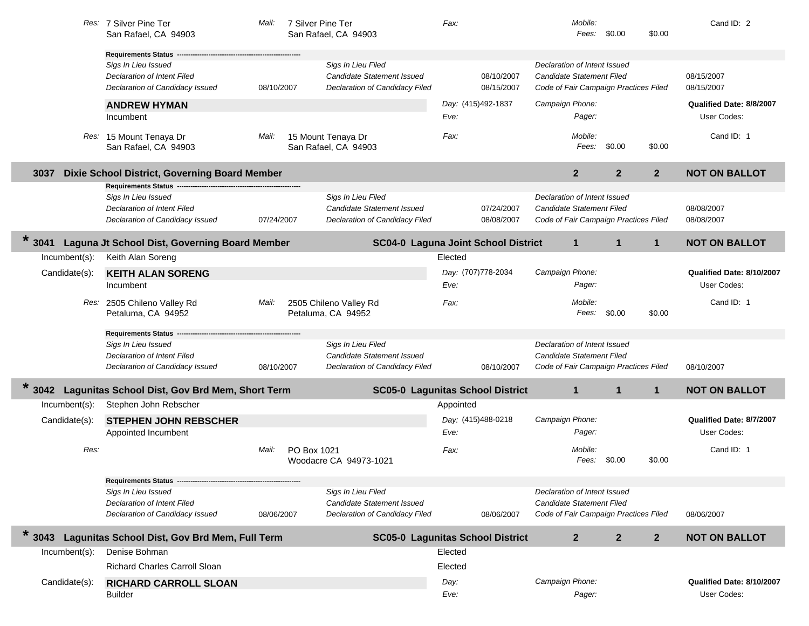|                  | Res: 7 Silver Pine Ter<br>San Rafael, CA 94903                                        | Mail:      | 7 Silver Pine Ter<br>San Rafael, CA 94903                                          | Fax:                                    | Mobile:<br>Fees:                                                                                   | \$0.00<br>\$0.00                 | Cand ID: 2                               |
|------------------|---------------------------------------------------------------------------------------|------------|------------------------------------------------------------------------------------|-----------------------------------------|----------------------------------------------------------------------------------------------------|----------------------------------|------------------------------------------|
|                  | <b>Requirements Status</b>                                                            |            |                                                                                    |                                         |                                                                                                    |                                  |                                          |
|                  | Sigs In Lieu Issued<br>Declaration of Intent Filed<br>Declaration of Candidacy Issued | 08/10/2007 | Sigs In Lieu Filed<br>Candidate Statement Issued<br>Declaration of Candidacy Filed | 08/10/2007<br>08/15/2007                | Declaration of Intent Issued<br>Candidate Statement Filed<br>Code of Fair Campaign Practices Filed |                                  | 08/15/2007<br>08/15/2007                 |
|                  | <b>ANDREW HYMAN</b>                                                                   |            |                                                                                    | Day: (415)492-1837                      | Campaign Phone:                                                                                    |                                  | Qualified Date: 8/8/2007                 |
|                  | Incumbent                                                                             |            |                                                                                    | Eve:                                    | Pager:                                                                                             |                                  | User Codes:                              |
|                  | Res: 15 Mount Tenaya Dr<br>San Rafael, CA 94903                                       | Mail:      | 15 Mount Tenaya Dr<br>San Rafael, CA 94903                                         | Fax:                                    | Mobile:<br>Fees:                                                                                   | \$0.00<br>\$0.00                 | Cand ID: 1                               |
| 3037             | Dixie School District, Governing Board Member                                         |            |                                                                                    |                                         | $\overline{2}$                                                                                     | 2 <sup>2</sup><br>2 <sup>2</sup> | <b>NOT ON BALLOT</b>                     |
|                  | <b>Requirements Status</b><br>Sigs In Lieu Issued                                     |            | Sigs In Lieu Filed                                                                 |                                         | Declaration of Intent Issued                                                                       |                                  |                                          |
|                  | Declaration of Intent Filed                                                           |            | Candidate Statement Issued                                                         | 07/24/2007                              | Candidate Statement Filed                                                                          |                                  | 08/08/2007                               |
|                  | Declaration of Candidacy Issued                                                       | 07/24/2007 | Declaration of Candidacy Filed                                                     | 08/08/2007                              | Code of Fair Campaign Practices Filed                                                              |                                  | 08/08/2007                               |
| $\star$<br>3041  | Laguna Jt School Dist, Governing Board Member                                         |            |                                                                                    | SC04-0 Laguna Joint School District     | $\mathbf{1}$                                                                                       | $\mathbf 1$<br>$\mathbf{1}$      | <b>NOT ON BALLOT</b>                     |
| Incumbent(s):    | Keith Alan Soreng                                                                     |            |                                                                                    | Elected                                 |                                                                                                    |                                  |                                          |
| Candidate(s):    | <b>KEITH ALAN SORENG</b><br>Incumbent                                                 |            |                                                                                    | Day: (707)778-2034<br>Eve:              | Campaign Phone:<br>Pager:                                                                          |                                  | Qualified Date: 8/10/2007<br>User Codes: |
|                  | Res: 2505 Chileno Valley Rd<br>Petaluma, CA 94952                                     | Mail:      | 2505 Chileno Valley Rd<br>Petaluma, CA 94952                                       | Fax:                                    | Mobile:<br>Fees:                                                                                   | \$0.00<br>\$0.00                 | Cand ID: 1                               |
|                  | <b>Requirements Status</b>                                                            |            |                                                                                    |                                         |                                                                                                    |                                  |                                          |
|                  | Sigs In Lieu Issued                                                                   |            | Sigs In Lieu Filed                                                                 |                                         | Declaration of Intent Issued                                                                       |                                  |                                          |
|                  | Declaration of Intent Filed<br>Declaration of Candidacy Issued                        | 08/10/2007 | <b>Candidate Statement Issued</b><br>Declaration of Candidacy Filed                | 08/10/2007                              | Candidate Statement Filed<br>Code of Fair Campaign Practices Filed                                 |                                  | 08/10/2007                               |
|                  |                                                                                       |            |                                                                                    |                                         |                                                                                                    |                                  |                                          |
| 3042             | Lagunitas School Dist, Gov Brd Mem, Short Term                                        |            |                                                                                    | <b>SC05-0 Lagunitas School District</b> | $\mathbf{1}$                                                                                       | $\mathbf 1$<br>$\mathbf{1}$      | <b>NOT ON BALLOT</b>                     |
| Incumbent(s):    | Stephen John Rebscher                                                                 |            |                                                                                    | Appointed                               |                                                                                                    |                                  |                                          |
| Candidate(s):    | <b>STEPHEN JOHN REBSCHER</b><br>Appointed Incumbent                                   |            |                                                                                    | Day: (415)488-0218<br>Eve:              | Campaign Phone:<br>Pager:                                                                          |                                  | Qualified Date: 8/7/2007<br>User Codes:  |
| Res:             |                                                                                       | Mail:      | PO Box 1021<br>Woodacre CA 94973-1021                                              | Fax:                                    | Mobile:<br>Fees:                                                                                   | \$0.00<br>\$0.00                 | Cand ID: 1                               |
|                  | <b>Requirements Status</b>                                                            |            |                                                                                    |                                         |                                                                                                    |                                  |                                          |
|                  | Sigs In Lieu Issued                                                                   |            | Sigs In Lieu Filed                                                                 |                                         | Declaration of Intent Issued                                                                       |                                  |                                          |
|                  | <b>Declaration of Intent Filed</b><br>Declaration of Candidacy Issued                 | 08/06/2007 | Candidate Statement Issued<br>Declaration of Candidacy Filed                       | 08/06/2007                              | Candidate Statement Filed<br>Code of Fair Campaign Practices Filed                                 |                                  | 08/06/2007                               |
| $\star$<br>3043  | Lagunitas School Dist, Gov Brd Mem, Full Term                                         |            |                                                                                    | <b>SC05-0 Lagunitas School District</b> | $\mathbf{2}$                                                                                       | $\mathbf{2}$<br>2 <sup>2</sup>   | <b>NOT ON BALLOT</b>                     |
| $Incumbent(s)$ : | Denise Bohman                                                                         |            |                                                                                    | Elected                                 |                                                                                                    |                                  |                                          |
|                  | <b>Richard Charles Carroll Sloan</b>                                                  |            |                                                                                    | Elected                                 |                                                                                                    |                                  |                                          |
| Candidate(s):    | <b>RICHARD CARROLL SLOAN</b>                                                          |            |                                                                                    | Day:                                    | Campaign Phone:                                                                                    |                                  | Qualified Date: 8/10/2007                |
|                  | <b>Builder</b>                                                                        |            |                                                                                    | Eve:                                    | Pager:                                                                                             |                                  | User Codes:                              |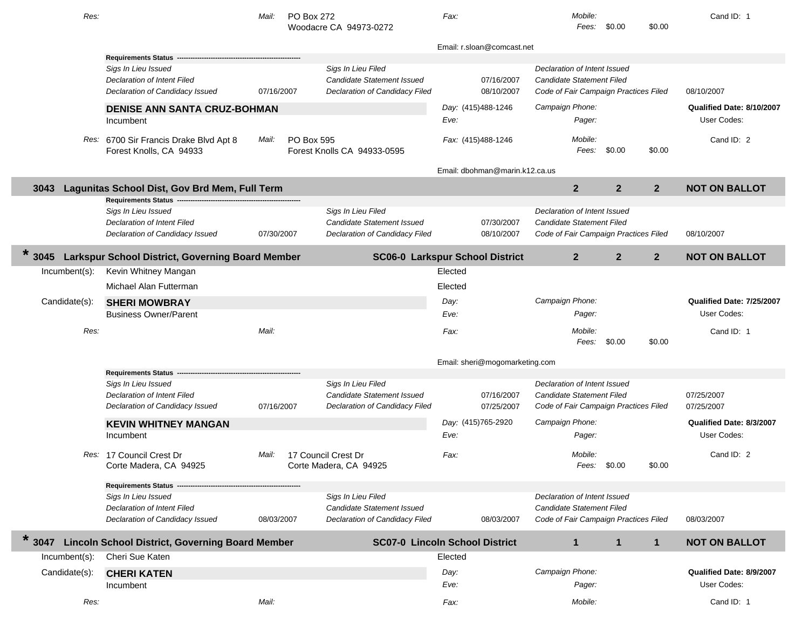| Res:             |                                                                                       | Mail:      | PO Box 272 | Woodacre CA 94973-0272                                                                    | Fax:         |                                | Mobile:<br>Fees:                                                                                   | \$0.00         | \$0.00         | Cand ID: 1                               |
|------------------|---------------------------------------------------------------------------------------|------------|------------|-------------------------------------------------------------------------------------------|--------------|--------------------------------|----------------------------------------------------------------------------------------------------|----------------|----------------|------------------------------------------|
|                  |                                                                                       |            |            |                                                                                           |              | Email: r.sloan@comcast.net     |                                                                                                    |                |                |                                          |
|                  | Requirements Status -<br>Sigs In Lieu Issued<br><b>Declaration of Intent Filed</b>    |            |            | Sigs In Lieu Filed<br>Candidate Statement Issued                                          |              | 07/16/2007                     | Declaration of Intent Issued<br>Candidate Statement Filed                                          |                |                |                                          |
|                  | Declaration of Candidacy Issued                                                       | 07/16/2007 |            | Declaration of Candidacy Filed                                                            |              | 08/10/2007                     | Code of Fair Campaign Practices Filed                                                              |                |                | 08/10/2007                               |
|                  | <b>DENISE ANN SANTA CRUZ-BOHMAN</b><br>Incumbent                                      |            |            |                                                                                           | Eve:         | Day: (415)488-1246             | Campaign Phone:<br>Pager:                                                                          |                |                | Qualified Date: 8/10/2007<br>User Codes: |
|                  | Res: 6700 Sir Francis Drake Blvd Apt 8<br>Forest Knolls, CA 94933                     | Mail:      | PO Box 595 | Forest Knolls CA 94933-0595                                                               |              | Fax: (415)488-1246             | Mobile:<br>Fees:                                                                                   | \$0.00         | \$0.00         | Cand ID: 2                               |
|                  |                                                                                       |            |            |                                                                                           |              | Email: dbohman@marin.k12.ca.us |                                                                                                    |                |                |                                          |
| 3043             | Lagunitas School Dist, Gov Brd Mem, Full Term                                         |            |            |                                                                                           |              |                                | 2 <sup>2</sup>                                                                                     | $\overline{2}$ | $\overline{2}$ | <b>NOT ON BALLOT</b>                     |
|                  | Requirements Status --                                                                |            |            |                                                                                           |              |                                |                                                                                                    |                |                |                                          |
|                  | Sigs In Lieu Issued<br>Declaration of Intent Filed<br>Declaration of Candidacy Issued | 07/30/2007 |            | Sigs In Lieu Filed<br>Candidate Statement Issued<br>Declaration of Candidacy Filed        |              | 07/30/2007<br>08/10/2007       | Declaration of Intent Issued<br>Candidate Statement Filed<br>Code of Fair Campaign Practices Filed |                |                | 08/10/2007                               |
| $\ast$<br>3045   | Larkspur School District, Governing Board Member                                      |            |            | <b>SC06-0 Larkspur School District</b>                                                    |              |                                | $\mathbf{2}$                                                                                       | $\mathbf{2}$   | $\mathbf{2}$   | <b>NOT ON BALLOT</b>                     |
| $Incumbent(s)$ : | Kevin Whitney Mangan                                                                  |            |            |                                                                                           | Elected      |                                |                                                                                                    |                |                |                                          |
|                  | Michael Alan Futterman                                                                |            |            |                                                                                           | Elected      |                                |                                                                                                    |                |                |                                          |
| Candidate(s):    | <b>SHERI MOWBRAY</b><br><b>Business Owner/Parent</b>                                  |            |            |                                                                                           | Day:<br>Eve: |                                | Campaign Phone:<br>Pager:                                                                          |                |                | Qualified Date: 7/25/2007<br>User Codes: |
| Res:             |                                                                                       | Mail:      |            |                                                                                           | Fax:         |                                | Mobile:<br>Fees:                                                                                   | \$0.00         | \$0.00         | Cand ID: 1                               |
|                  |                                                                                       |            |            |                                                                                           |              | Email: sheri@mogomarketing.com |                                                                                                    |                |                |                                          |
|                  | Requirements Status --                                                                |            |            |                                                                                           |              |                                |                                                                                                    |                |                |                                          |
|                  | Sigs In Lieu Issued<br>Declaration of Intent Filed<br>Declaration of Candidacy Issued | 07/16/2007 |            | Sigs In Lieu Filed<br>Candidate Statement Issued<br>Declaration of Candidacy Filed        |              | 07/16/2007<br>07/25/2007       | Declaration of Intent Issued<br>Candidate Statement Filed<br>Code of Fair Campaign Practices Filed |                |                | 07/25/2007<br>07/25/2007                 |
|                  | <b>KEVIN WHITNEY MANGAN</b>                                                           |            |            |                                                                                           |              | Day: (415)765-2920             | Campaign Phone:                                                                                    |                |                | Qualified Date: 8/3/2007                 |
|                  | Incumbent                                                                             |            |            |                                                                                           | Eve:         |                                | Pager:                                                                                             |                |                | User Codes:                              |
|                  | Res: 17 Council Crest Dr<br>Corte Madera, CA 94925                                    | Mail:      |            | 17 Council Crest Dr<br>Corte Madera, CA 94925                                             | Fax:         |                                | Mobile:<br>Fees: \$0.00                                                                            |                | \$0.00         | Cand ID: 2                               |
|                  | <b>Requirements Status</b>                                                            |            |            |                                                                                           |              |                                |                                                                                                    |                |                |                                          |
|                  | Sigs In Lieu Issued<br>Declaration of Intent Filed<br>Declaration of Candidacy Issued | 08/03/2007 |            | Sigs In Lieu Filed<br><b>Candidate Statement Issued</b><br>Declaration of Candidacy Filed |              | 08/03/2007                     | Declaration of Intent Issued<br>Candidate Statement Filed<br>Code of Fair Campaign Practices Filed |                |                | 08/03/2007                               |
| $\ast$<br>3047   | <b>Lincoln School District, Governing Board Member</b>                                |            |            | <b>SC07-0 Lincoln School District</b>                                                     |              |                                | $\mathbf{1}$                                                                                       | $\mathbf 1$    | $\mathbf{1}$   | <b>NOT ON BALLOT</b>                     |
| Incumbent(s):    | Cheri Sue Katen                                                                       |            |            |                                                                                           | Elected      |                                |                                                                                                    |                |                |                                          |
| Candidate(s):    | <b>CHERI KATEN</b>                                                                    |            |            |                                                                                           | Day:         |                                | Campaign Phone:                                                                                    |                |                | Qualified Date: 8/9/2007                 |
|                  | Incumbent                                                                             |            |            |                                                                                           | Eve:         |                                | Pager:                                                                                             |                |                | User Codes:                              |
| Res:             |                                                                                       | Mail:      |            |                                                                                           | Fax:         |                                | Mobile:                                                                                            |                |                | Cand ID: 1                               |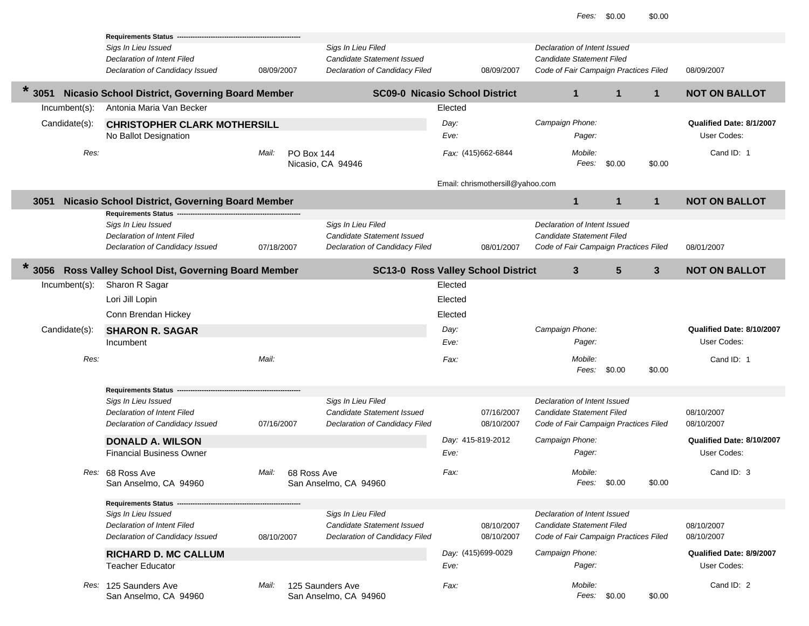|                  | <b>Requirements Status</b>                        |            |                                      |                                           |         |                                  |                                       |              |              |                           |
|------------------|---------------------------------------------------|------------|--------------------------------------|-------------------------------------------|---------|----------------------------------|---------------------------------------|--------------|--------------|---------------------------|
|                  | Sigs In Lieu Issued                               |            | Sigs In Lieu Filed                   |                                           |         |                                  | Declaration of Intent Issued          |              |              |                           |
|                  | Declaration of Intent Filed                       |            |                                      | Candidate Statement Issued                |         |                                  | Candidate Statement Filed             |              |              |                           |
|                  | Declaration of Candidacy Issued                   | 08/09/2007 |                                      | Declaration of Candidacy Filed            |         | 08/09/2007                       | Code of Fair Campaign Practices Filed |              |              | 08/09/2007                |
|                  |                                                   |            |                                      |                                           |         |                                  |                                       |              |              |                           |
| $\star$<br>3051  | Nicasio School District, Governing Board Member   |            |                                      | <b>SC09-0 Nicasio School District</b>     |         |                                  | $\mathbf{1}$                          | 1            | 1            | <b>NOT ON BALLOT</b>      |
| $Incumbent(s)$ : | Antonia Maria Van Becker                          |            |                                      |                                           | Elected |                                  |                                       |              |              |                           |
| Candidate(s):    | <b>CHRISTOPHER CLARK MOTHERSILL</b>               |            |                                      |                                           | Day:    |                                  | Campaign Phone:                       |              |              | Qualified Date: 8/1/2007  |
|                  | No Ballot Designation                             |            |                                      |                                           | Eve:    |                                  | Pager:                                |              |              | User Codes:               |
|                  |                                                   |            |                                      |                                           |         |                                  |                                       |              |              |                           |
| Res:             |                                                   | Mail:      | <b>PO Box 144</b>                    |                                           |         | Fax: (415)662-6844               | Mobile:                               |              |              | Cand ID: 1                |
|                  |                                                   |            | Nicasio, CA 94946                    |                                           |         |                                  | Fees:                                 | \$0.00       | \$0.00       |                           |
|                  |                                                   |            |                                      |                                           |         | Email: chrismothersill@yahoo.com |                                       |              |              |                           |
|                  |                                                   |            |                                      |                                           |         |                                  | $\mathbf{1}$                          | $\mathbf{1}$ | $\mathbf{1}$ | <b>NOT ON BALLOT</b>      |
| 3051             | Nicasio School District, Governing Board Member   |            |                                      |                                           |         |                                  |                                       |              |              |                           |
|                  | <b>Requirements Status</b><br>Sigs In Lieu Issued |            | Sigs In Lieu Filed                   |                                           |         |                                  | Declaration of Intent Issued          |              |              |                           |
|                  | Declaration of Intent Filed                       |            |                                      | Candidate Statement Issued                |         |                                  | Candidate Statement Filed             |              |              |                           |
|                  | Declaration of Candidacy Issued                   | 07/18/2007 |                                      | Declaration of Candidacy Filed            |         | 08/01/2007                       | Code of Fair Campaign Practices Filed |              |              | 08/01/2007                |
|                  |                                                   |            |                                      |                                           |         |                                  |                                       |              |              |                           |
| $\ast$<br>3056   | Ross Valley School Dist, Governing Board Member   |            |                                      | <b>SC13-0 Ross Valley School District</b> |         |                                  | $3\phantom{a}$                        | 5            | $\mathbf{3}$ | <b>NOT ON BALLOT</b>      |
| Incumbent(s):    | Sharon R Sagar                                    |            |                                      |                                           | Elected |                                  |                                       |              |              |                           |
|                  | Lori Jill Lopin                                   |            |                                      |                                           | Elected |                                  |                                       |              |              |                           |
|                  | Conn Brendan Hickey                               |            |                                      |                                           | Elected |                                  |                                       |              |              |                           |
|                  |                                                   |            |                                      |                                           |         |                                  |                                       |              |              |                           |
| Candidate(s):    | <b>SHARON R. SAGAR</b>                            |            |                                      |                                           | Day:    |                                  | Campaign Phone:                       |              |              | Qualified Date: 8/10/2007 |
|                  | Incumbent                                         |            |                                      |                                           | Eve:    |                                  | Pager:                                |              |              | User Codes:               |
| Res:             |                                                   | Mail:      |                                      |                                           | Fax:    |                                  | Mobile:                               |              |              | Cand ID: 1                |
|                  |                                                   |            |                                      |                                           |         |                                  | Fees:                                 | \$0.00       | \$0.00       |                           |
|                  |                                                   |            |                                      |                                           |         |                                  |                                       |              |              |                           |
|                  | <b>Requirements Status</b>                        |            |                                      |                                           |         |                                  |                                       |              |              |                           |
|                  | Sigs In Lieu Issued                               |            | Sigs In Lieu Filed                   |                                           |         |                                  | Declaration of Intent Issued          |              |              |                           |
|                  | <b>Declaration of Intent Filed</b>                |            |                                      | <b>Candidate Statement Issued</b>         |         | 07/16/2007                       | Candidate Statement Filed             |              |              | 08/10/2007                |
|                  | Declaration of Candidacy Issued                   | 07/16/2007 |                                      | Declaration of Candidacy Filed            |         | 08/10/2007                       | Code of Fair Campaign Practices Filed |              |              | 08/10/2007                |
|                  | <b>DONALD A. WILSON</b>                           |            |                                      |                                           |         | Day: 415-819-2012                | Campaign Phone:                       |              |              | Qualified Date: 8/10/2007 |
|                  | <b>Financial Business Owner</b>                   |            |                                      |                                           | Eve:    |                                  | Pager:                                |              |              | User Codes:               |
|                  |                                                   |            |                                      |                                           |         |                                  |                                       |              |              |                           |
|                  | Res: 68 Ross Ave                                  | Mail:      | 68 Ross Ave<br>San Anselmo, CA 94960 |                                           | Fax:    |                                  | Mobile:<br>Fees:                      | \$0.00       | \$0.00       | Cand ID: 3                |
|                  | San Anselmo, CA 94960                             |            |                                      |                                           |         |                                  |                                       |              |              |                           |
|                  | <b>Requirements Status --</b>                     |            |                                      |                                           |         |                                  |                                       |              |              |                           |
|                  | Sigs In Lieu Issued                               |            | Sigs In Lieu Filed                   |                                           |         |                                  | Declaration of Intent Issued          |              |              |                           |
|                  | Declaration of Intent Filed                       |            |                                      | Candidate Statement Issued                |         | 08/10/2007                       | Candidate Statement Filed             |              |              | 08/10/2007                |
|                  | Declaration of Candidacy Issued                   | 08/10/2007 |                                      | Declaration of Candidacy Filed            |         | 08/10/2007                       | Code of Fair Campaign Practices Filed |              |              | 08/10/2007                |
|                  | <b>RICHARD D. MC CALLUM</b>                       |            |                                      |                                           |         | Day: (415)699-0029               | Campaign Phone:                       |              |              | Qualified Date: 8/9/2007  |
|                  | <b>Teacher Educator</b>                           |            |                                      |                                           | Eve:    |                                  | Pager:                                |              |              | User Codes:               |
|                  |                                                   |            |                                      |                                           |         |                                  |                                       |              |              |                           |
|                  | Res: 125 Saunders Ave                             | Mail:      | 125 Saunders Ave                     |                                           | Fax:    |                                  | Mobile:                               |              |              | Cand ID: 2                |
|                  | San Anselmo, CA 94960                             |            | San Anselmo, CA 94960                |                                           |         |                                  | Fees:                                 | \$0.00       | \$0.00       |                           |
|                  |                                                   |            |                                      |                                           |         |                                  |                                       |              |              |                           |

×

Г ı

Г L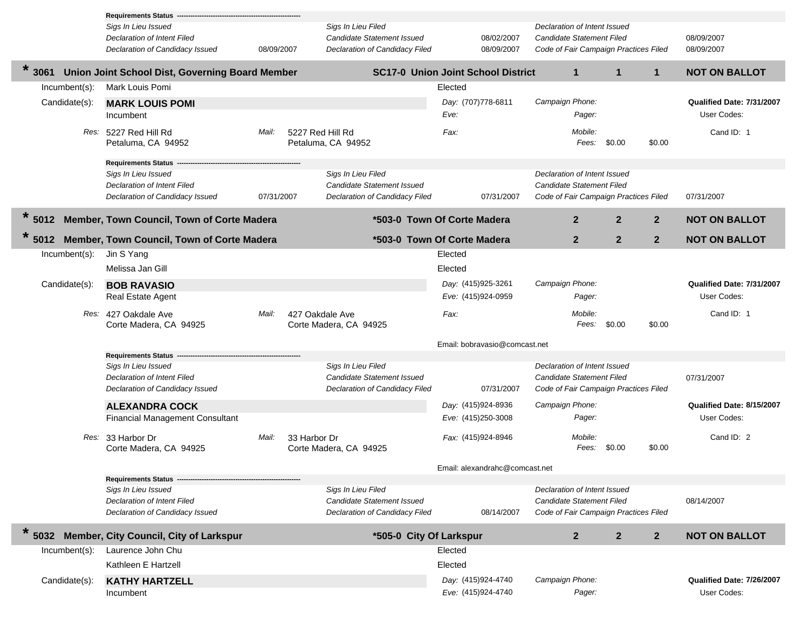|                 | Requirements Status -                           |            |                                           |         |                                           |                                       |                |                |                           |
|-----------------|-------------------------------------------------|------------|-------------------------------------------|---------|-------------------------------------------|---------------------------------------|----------------|----------------|---------------------------|
|                 | Sigs In Lieu Issued                             |            | Sigs In Lieu Filed                        |         |                                           | Declaration of Intent Issued          |                |                |                           |
|                 | <b>Declaration of Intent Filed</b>              |            | Candidate Statement Issued                |         | 08/02/2007                                | Candidate Statement Filed             |                |                | 08/09/2007                |
|                 | Declaration of Candidacy Issued                 | 08/09/2007 | Declaration of Candidacy Filed            |         | 08/09/2007                                | Code of Fair Campaign Practices Filed |                |                | 08/09/2007                |
| $\star$<br>3061 | Union Joint School Dist, Governing Board Member |            |                                           |         | <b>SC17-0 Union Joint School District</b> | $\mathbf{1}$                          | $\mathbf{1}$   | $\mathbf{1}$   | <b>NOT ON BALLOT</b>      |
| Incumbent(s):   | Mark Louis Pomi                                 |            |                                           | Elected |                                           |                                       |                |                |                           |
| Candidate(s):   | <b>MARK LOUIS POMI</b>                          |            |                                           |         | Day: (707)778-6811                        | Campaign Phone:                       |                |                | Qualified Date: 7/31/2007 |
|                 | Incumbent                                       |            |                                           | Eve:    |                                           | Pager:                                |                |                | User Codes:               |
|                 |                                                 |            |                                           |         |                                           |                                       |                |                |                           |
|                 | Res: 5227 Red Hill Rd                           | Mail:      | 5227 Red Hill Rd                          | Fax:    |                                           | Mobile:                               |                |                | Cand ID: 1                |
|                 | Petaluma, CA 94952                              |            | Petaluma, CA 94952                        |         |                                           | Fees:                                 | \$0.00         | \$0.00         |                           |
|                 | <b>Requirements Status</b>                      |            |                                           |         |                                           |                                       |                |                |                           |
|                 | Sigs In Lieu Issued                             |            | Sigs In Lieu Filed                        |         |                                           | Declaration of Intent Issued          |                |                |                           |
|                 | Declaration of Intent Filed                     |            | Candidate Statement Issued                |         |                                           | Candidate Statement Filed             |                |                |                           |
|                 | Declaration of Candidacy Issued                 | 07/31/2007 | Declaration of Candidacy Filed            |         | 07/31/2007                                | Code of Fair Campaign Practices Filed |                |                | 07/31/2007                |
|                 |                                                 |            |                                           |         |                                           |                                       |                |                |                           |
| 5012            | Member, Town Council, Town of Corte Madera      |            | *503-0 Town Of Corte Madera               |         |                                           | 2 <sup>2</sup>                        | $\overline{2}$ | $\mathbf{2}$   | <b>NOT ON BALLOT</b>      |
|                 | 5012 Member, Town Council, Town of Corte Madera |            | *503-0 Town Of Corte Madera               |         |                                           | $\mathbf{2}$                          | $\overline{2}$ | $\overline{2}$ | <b>NOT ON BALLOT</b>      |
| Incumbent(s):   | Jin S Yang                                      |            |                                           | Elected |                                           |                                       |                |                |                           |
|                 | Melissa Jan Gill                                |            |                                           | Elected |                                           |                                       |                |                |                           |
| Candidate(s):   | <b>BOB RAVASIO</b>                              |            |                                           |         | Day: (415)925-3261                        | Campaign Phone:                       |                |                | Qualified Date: 7/31/2007 |
|                 | Real Estate Agent                               |            |                                           |         | Eve: (415)924-0959                        | Pager:                                |                |                | User Codes:               |
|                 |                                                 |            |                                           |         |                                           |                                       |                |                |                           |
|                 | Res: 427 Oakdale Ave<br>Corte Madera, CA 94925  | Mail:      | 427 Oakdale Ave<br>Corte Madera, CA 94925 | Fax:    |                                           | Mobile:                               | Fees: \$0.00   | \$0.00         | Cand ID: 1                |
|                 |                                                 |            |                                           |         |                                           |                                       |                |                |                           |
|                 |                                                 |            |                                           |         | Email: bobravasio@comcast.net             |                                       |                |                |                           |
|                 | <b>Requirements Status</b>                      |            |                                           |         |                                           |                                       |                |                |                           |
|                 | Sigs In Lieu Issued                             |            | Sigs In Lieu Filed                        |         |                                           | Declaration of Intent Issued          |                |                |                           |
|                 | Declaration of Intent Filed                     |            | Candidate Statement Issued                |         |                                           | Candidate Statement Filed             |                |                | 07/31/2007                |
|                 | Declaration of Candidacy Issued                 |            | Declaration of Candidacy Filed            |         | 07/31/2007                                | Code of Fair Campaign Practices Filed |                |                |                           |
|                 | <b>ALEXANDRA COCK</b>                           |            |                                           |         | Day: (415)924-8936                        | Campaign Phone:                       |                |                | Qualified Date: 8/15/2007 |
|                 | <b>Financial Management Consultant</b>          |            |                                           |         | Eve: (415)250-3008                        | Pager:                                |                |                | User Codes:               |
|                 | Res: 33 Harbor Dr                               | Mail:      | 33 Harbor Dr                              |         | Fax: (415)924-8946                        | Mobile:                               |                |                | Cand ID: 2                |
|                 | Corte Madera, CA 94925                          |            | Corte Madera, CA 94925                    |         |                                           |                                       | Fees: \$0.00   | \$0.00         |                           |
|                 |                                                 |            |                                           |         |                                           |                                       |                |                |                           |
|                 | <b>Requirements Status -</b>                    |            |                                           |         | Email: alexandrahc@comcast.net            |                                       |                |                |                           |
|                 | Sigs In Lieu Issued                             |            | Sigs In Lieu Filed                        |         |                                           | Declaration of Intent Issued          |                |                |                           |
|                 | Declaration of Intent Filed                     |            | Candidate Statement Issued                |         |                                           | Candidate Statement Filed             |                |                | 08/14/2007                |
|                 | Declaration of Candidacy Issued                 |            | Declaration of Candidacy Filed            |         | 08/14/2007                                | Code of Fair Campaign Practices Filed |                |                |                           |
| $\star$         |                                                 |            |                                           |         |                                           |                                       |                |                |                           |
| 5032            | Member, City Council, City of Larkspur          |            | *505-0 City Of Larkspur                   |         |                                           | $\overline{2}$                        | $\mathbf{2}$   | $\overline{2}$ | <b>NOT ON BALLOT</b>      |
| Incumbent(s):   | Laurence John Chu                               |            |                                           | Elected |                                           |                                       |                |                |                           |
|                 | Kathleen E Hartzell                             |            |                                           | Elected |                                           |                                       |                |                |                           |
| Candidate(s):   | <b>KATHY HARTZELL</b>                           |            |                                           |         | Day: (415)924-4740                        | Campaign Phone:                       |                |                | Qualified Date: 7/26/2007 |
|                 | Incumbent                                       |            |                                           |         | Eve: (415)924-4740                        | Pager:                                |                |                | User Codes:               |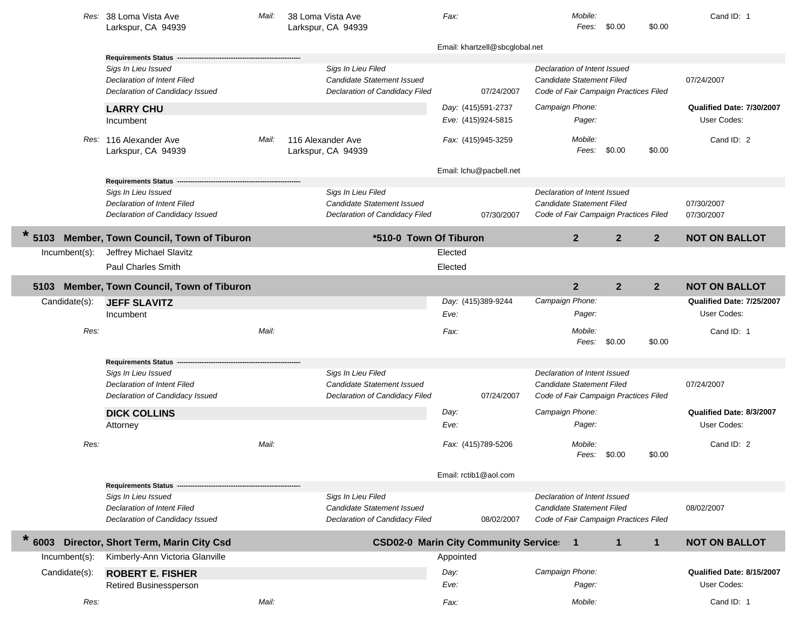|                | Res: 38 Loma Vista Ave<br>Larkspur, CA 94939                                          | Mail: | 38 Loma Vista Ave<br>Larkspur, CA 94939                                            | Fax:      |                                | Mobile:                                                                                            | Fees: \$0.00   | \$0.00         | Cand ID: 1                |
|----------------|---------------------------------------------------------------------------------------|-------|------------------------------------------------------------------------------------|-----------|--------------------------------|----------------------------------------------------------------------------------------------------|----------------|----------------|---------------------------|
|                |                                                                                       |       |                                                                                    |           | Email: khartzell@sbcglobal.net |                                                                                                    |                |                |                           |
|                | <b>Requirements Status</b>                                                            |       |                                                                                    |           |                                |                                                                                                    |                |                |                           |
|                | Sigs In Lieu Issued<br>Declaration of Intent Filed<br>Declaration of Candidacy Issued |       | Sigs In Lieu Filed<br>Candidate Statement Issued<br>Declaration of Candidacy Filed |           | 07/24/2007                     | Declaration of Intent Issued<br>Candidate Statement Filed<br>Code of Fair Campaign Practices Filed |                |                | 07/24/2007                |
|                | <b>LARRY CHU</b>                                                                      |       |                                                                                    |           | Day: (415)591-2737             | Campaign Phone:                                                                                    |                |                | Qualified Date: 7/30/2007 |
|                | Incumbent                                                                             |       |                                                                                    |           | Eve: (415)924-5815             | Pager:                                                                                             |                |                | User Codes:               |
|                | Res: 116 Alexander Ave<br>Larkspur, CA 94939                                          | Mail: | 116 Alexander Ave<br>Larkspur, CA 94939                                            |           | Fax: (415)945-3259             | Mobile:<br>Fees:                                                                                   | \$0.00         | \$0.00         | Cand ID: 2                |
|                |                                                                                       |       |                                                                                    |           | Email: Ichu@pacbell.net        |                                                                                                    |                |                |                           |
|                | Requirements Status ---<br>Sigs In Lieu Issued                                        |       | Sigs In Lieu Filed                                                                 |           |                                | Declaration of Intent Issued                                                                       |                |                |                           |
|                | Declaration of Intent Filed                                                           |       | Candidate Statement Issued                                                         |           |                                | Candidate Statement Filed                                                                          |                |                | 07/30/2007                |
|                | Declaration of Candidacy Issued                                                       |       | Declaration of Candidacy Filed                                                     |           | 07/30/2007                     | Code of Fair Campaign Practices Filed                                                              |                |                | 07/30/2007                |
| 5103           | <b>Member, Town Council, Town of Tiburon</b>                                          |       | *510-0 Town Of Tiburon                                                             |           |                                | $\overline{2}$                                                                                     | $\overline{2}$ | 2 <sup>2</sup> | <b>NOT ON BALLOT</b>      |
| Incumbent(s):  | Jeffrey Michael Slavitz                                                               |       |                                                                                    | Elected   |                                |                                                                                                    |                |                |                           |
|                | <b>Paul Charles Smith</b>                                                             |       |                                                                                    | Elected   |                                |                                                                                                    |                |                |                           |
| 5103           | Member, Town Council, Town of Tiburon                                                 |       |                                                                                    |           |                                | $\overline{2}$                                                                                     | $\overline{2}$ | $\mathbf{2}$   | <b>NOT ON BALLOT</b>      |
| Candidate(s):  | <b>JEFF SLAVITZ</b>                                                                   |       |                                                                                    |           | Day: (415)389-9244             | Campaign Phone:                                                                                    |                |                | Qualified Date: 7/25/2007 |
|                | Incumbent                                                                             |       |                                                                                    | Eve:      |                                | Pager:                                                                                             |                |                | User Codes:               |
| Res:           |                                                                                       | Mail: |                                                                                    | Fax:      |                                | Mobile:                                                                                            |                |                | Cand ID: 1                |
|                |                                                                                       |       |                                                                                    |           |                                | Fees:                                                                                              | \$0.00         | \$0.00         |                           |
|                | <b>Requirements Status</b>                                                            |       |                                                                                    |           |                                |                                                                                                    |                |                |                           |
|                | Sigs In Lieu Issued                                                                   |       | Sigs In Lieu Filed                                                                 |           |                                | Declaration of Intent Issued                                                                       |                |                |                           |
|                | Declaration of Intent Filed<br>Declaration of Candidacy Issued                        |       | Candidate Statement Issued<br>Declaration of Candidacy Filed                       |           | 07/24/2007                     | Candidate Statement Filed<br>Code of Fair Campaign Practices Filed                                 |                |                | 07/24/2007                |
|                |                                                                                       |       |                                                                                    |           |                                |                                                                                                    |                |                |                           |
|                | <b>DICK COLLINS</b>                                                                   |       |                                                                                    | Day:      |                                | Campaign Phone:                                                                                    |                |                | Qualified Date: 8/3/2007  |
|                | Attorney                                                                              |       |                                                                                    | Eve:      |                                | Pager:                                                                                             |                |                | User Codes:               |
| Res:           |                                                                                       | Mail: |                                                                                    |           | Fax: (415)789-5206             | Mobile:                                                                                            |                |                | Cand ID: 2                |
|                |                                                                                       |       |                                                                                    |           |                                | Fees:                                                                                              | \$0.00         | \$0.00         |                           |
|                |                                                                                       |       |                                                                                    |           | Email: rctib1@aol.com          |                                                                                                    |                |                |                           |
|                | <b>Requirements Status</b><br>Sigs In Lieu Issued                                     |       | Sigs In Lieu Filed                                                                 |           |                                | Declaration of Intent Issued                                                                       |                |                |                           |
|                | Declaration of Intent Filed                                                           |       | Candidate Statement Issued                                                         |           |                                | Candidate Statement Filed                                                                          |                |                | 08/02/2007                |
|                | Declaration of Candidacy Issued                                                       |       | Declaration of Candidacy Filed                                                     |           | 08/02/2007                     | Code of Fair Campaign Practices Filed                                                              |                |                |                           |
| $\ast$<br>6003 | Director, Short Term, Marin City Csd                                                  |       | <b>CSD02-0 Marin City Community Service:</b>                                       |           |                                | $\mathbf 1$                                                                                        | $\mathbf 1$    | $\mathbf{1}$   | <b>NOT ON BALLOT</b>      |
| Incumbent(s):  | Kimberly-Ann Victoria Glanville                                                       |       |                                                                                    | Appointed |                                |                                                                                                    |                |                |                           |
| Candidate(s):  | <b>ROBERT E. FISHER</b>                                                               |       |                                                                                    | Day:      |                                | Campaign Phone:                                                                                    |                |                | Qualified Date: 8/15/2007 |
|                | Retired Businessperson                                                                |       |                                                                                    | Eve:      |                                | Pager:                                                                                             |                |                | User Codes:               |
| Res:           |                                                                                       | Mail: |                                                                                    | Fax:      |                                | Mobile:                                                                                            |                |                | Cand ID: 1                |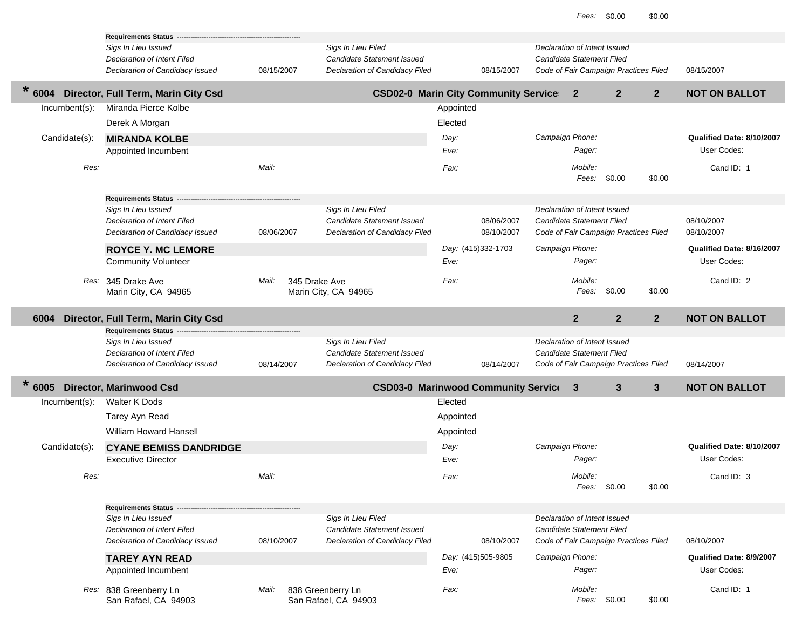|                |               | <b>Requirements Status</b>                                     |            |                                                              |           |                    |                 |                                                           |                                       |                |                                         |
|----------------|---------------|----------------------------------------------------------------|------------|--------------------------------------------------------------|-----------|--------------------|-----------------|-----------------------------------------------------------|---------------------------------------|----------------|-----------------------------------------|
|                |               | Sigs In Lieu Issued                                            |            | Sigs In Lieu Filed                                           |           |                    |                 | Declaration of Intent Issued                              |                                       |                |                                         |
|                |               | Declaration of Intent Filed<br>Declaration of Candidacy Issued | 08/15/2007 | Candidate Statement Issued<br>Declaration of Candidacy Filed |           | 08/15/2007         |                 | Candidate Statement Filed                                 | Code of Fair Campaign Practices Filed |                | 08/15/2007                              |
|                |               |                                                                |            |                                                              |           |                    |                 |                                                           |                                       |                |                                         |
| $\ast$<br>6004 |               | Director, Full Term, Marin City Csd                            |            | <b>CSD02-0 Marin City Community Service:</b>                 |           |                    |                 | $\mathbf{2}$                                              | $\mathbf{2}$                          | $\overline{2}$ | <b>NOT ON BALLOT</b>                    |
|                | Incumbent(s): | Miranda Pierce Kolbe                                           |            |                                                              | Appointed |                    |                 |                                                           |                                       |                |                                         |
|                |               | Derek A Morgan                                                 |            |                                                              | Elected   |                    |                 |                                                           |                                       |                |                                         |
|                | Candidate(s): | <b>MIRANDA KOLBE</b>                                           |            |                                                              | Day:      |                    | Campaign Phone: |                                                           |                                       |                | Qualified Date: 8/10/2007               |
|                |               | Appointed Incumbent                                            |            |                                                              | Eve:      |                    |                 | Pager:                                                    |                                       |                | User Codes:                             |
|                | Res:          |                                                                | Mail:      |                                                              | Fax:      |                    |                 | Mobile:                                                   |                                       |                | Cand ID: 1                              |
|                |               |                                                                |            |                                                              |           |                    |                 | Fees:                                                     | \$0.00                                | \$0.00         |                                         |
|                |               | <b>Requirements Status</b>                                     |            |                                                              |           |                    |                 |                                                           |                                       |                |                                         |
|                |               | Sigs In Lieu Issued                                            |            | Sigs In Lieu Filed                                           |           |                    |                 | Declaration of Intent Issued                              |                                       |                |                                         |
|                |               | Declaration of Intent Filed                                    |            | Candidate Statement Issued                                   |           | 08/06/2007         |                 | Candidate Statement Filed                                 |                                       |                | 08/10/2007                              |
|                |               | Declaration of Candidacy Issued                                | 08/06/2007 | Declaration of Candidacy Filed                               |           | 08/10/2007         |                 |                                                           | Code of Fair Campaign Practices Filed |                | 08/10/2007                              |
|                |               | <b>ROYCE Y. MC LEMORE</b>                                      |            |                                                              |           | Day: (415)332-1703 | Campaign Phone: |                                                           |                                       |                | Qualified Date: 8/16/2007               |
|                |               | <b>Community Volunteer</b>                                     |            |                                                              | Eve:      |                    |                 | Pager:                                                    |                                       |                | User Codes:                             |
|                |               | Res: 345 Drake Ave                                             | Mail:      | 345 Drake Ave                                                | Fax:      |                    |                 | Mobile:                                                   |                                       |                | Cand ID: 2                              |
|                |               | Marin City, CA 94965                                           |            | Marin City, CA 94965                                         |           |                    |                 | Fees:                                                     | \$0.00                                | \$0.00         |                                         |
|                |               |                                                                |            |                                                              |           |                    |                 |                                                           |                                       |                |                                         |
|                |               | Director, Full Term, Marin City Csd                            |            |                                                              |           |                    |                 | $\overline{2}$                                            | $\overline{\mathbf{2}}$               | $2^{\circ}$    | <b>NOT ON BALLOT</b>                    |
| 6004           |               |                                                                |            |                                                              |           |                    |                 |                                                           |                                       |                |                                         |
|                |               | Requirements Status --                                         |            |                                                              |           |                    |                 |                                                           |                                       |                |                                         |
|                |               | Sigs In Lieu Issued<br>Declaration of Intent Filed             |            | Sigs In Lieu Filed<br>Candidate Statement Issued             |           |                    |                 | Declaration of Intent Issued<br>Candidate Statement Filed |                                       |                |                                         |
|                |               | Declaration of Candidacy Issued                                | 08/14/2007 | Declaration of Candidacy Filed                               |           | 08/14/2007         |                 |                                                           | Code of Fair Campaign Practices Filed |                | 08/14/2007                              |
| $\ast$         |               |                                                                |            |                                                              |           |                    |                 |                                                           |                                       |                |                                         |
| 6005           |               | <b>Director, Marinwood Csd</b>                                 |            | <b>CSD03-0 Marinwood Community Service</b>                   |           |                    |                 | 3                                                         | $\mathbf{3}$                          | $\mathbf{3}$   | <b>NOT ON BALLOT</b>                    |
|                | Incumbent(s): | <b>Walter K Dods</b>                                           |            |                                                              | Elected   |                    |                 |                                                           |                                       |                |                                         |
|                |               | Tarey Ayn Read                                                 |            |                                                              | Appointed |                    |                 |                                                           |                                       |                |                                         |
|                |               | <b>William Howard Hansell</b>                                  |            |                                                              | Appointed |                    |                 |                                                           |                                       |                |                                         |
|                | Candidate(s): | <b>CYANE BEMISS DANDRIDGE</b>                                  |            |                                                              | Day:      |                    | Campaign Phone: |                                                           |                                       |                | Qualified Date: 8/10/2007               |
|                |               | <b>Executive Director</b>                                      |            |                                                              | Eve:      |                    |                 | Pager:                                                    |                                       |                | User Codes:                             |
|                | Res:          |                                                                | Mail:      |                                                              | Fax:      |                    |                 | Mobile:                                                   |                                       |                | Cand ID: 3                              |
|                |               |                                                                |            |                                                              |           |                    |                 | Fees:                                                     | \$0.00                                | \$0.00         |                                         |
|                |               | Requirements Status --                                         |            |                                                              |           |                    |                 |                                                           |                                       |                |                                         |
|                |               | Sigs In Lieu Issued                                            |            | Sigs In Lieu Filed                                           |           |                    |                 | Declaration of Intent Issued                              |                                       |                |                                         |
|                |               | Declaration of Intent Filed                                    |            | <b>Candidate Statement Issued</b>                            |           |                    |                 | Candidate Statement Filed                                 |                                       |                |                                         |
|                |               | Declaration of Candidacy Issued                                | 08/10/2007 | Declaration of Candidacy Filed                               |           | 08/10/2007         |                 |                                                           | Code of Fair Campaign Practices Filed |                | 08/10/2007                              |
|                |               | <b>TAREY AYN READ</b>                                          |            |                                                              | Eve:      | Day: (415)505-9805 | Campaign Phone: | Pager:                                                    |                                       |                | Qualified Date: 8/9/2007<br>User Codes: |
|                |               | Appointed Incumbent                                            |            |                                                              |           |                    |                 |                                                           |                                       |                |                                         |
|                |               | Res: 838 Greenberry Ln<br>San Rafael, CA 94903                 | Mail:      | 838 Greenberry Ln<br>San Rafael, CA 94903                    | Fax:      |                    |                 | Mobile:                                                   | Fees: \$0.00                          | \$0.00         | Cand ID: 1                              |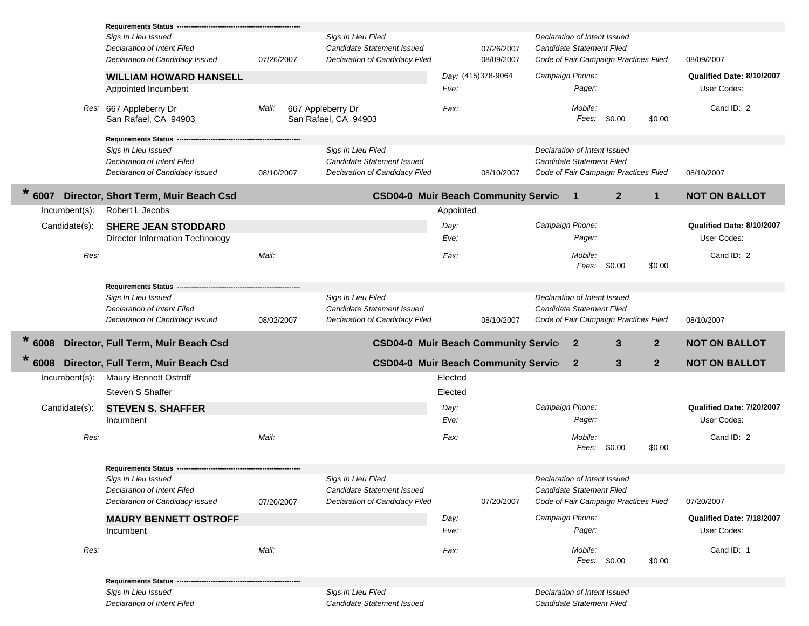|                | Requirements Status -                              |            |                                                  |           |                    |                 |                                                           |                                       |              |                           |
|----------------|----------------------------------------------------|------------|--------------------------------------------------|-----------|--------------------|-----------------|-----------------------------------------------------------|---------------------------------------|--------------|---------------------------|
|                | Sigs In Lieu Issued                                |            | Sigs In Lieu Filed                               |           |                    |                 | Declaration of Intent Issued                              |                                       |              |                           |
|                | Declaration of Intent Filed                        |            | Candidate Statement Issued                       |           | 07/26/2007         |                 | Candidate Statement Filed                                 |                                       |              |                           |
|                | Declaration of Candidacy Issued                    | 07/26/2007 | Declaration of Candidacy Filed                   |           | 08/09/2007         |                 |                                                           | Code of Fair Campaign Practices Filed |              | 08/09/2007                |
|                | <b>WILLIAM HOWARD HANSELL</b>                      |            |                                                  |           | Day: (415)378-9064 | Campaign Phone: |                                                           |                                       |              | Qualified Date: 8/10/2007 |
|                | Appointed Incumbent                                |            |                                                  | Eve:      |                    |                 | Pager:                                                    |                                       |              | User Codes:               |
|                | Res: 667 Appleberry Dr                             | Mail:      | 667 Appleberry Dr                                | Fax:      |                    |                 | Mobile:                                                   |                                       |              | Cand ID: 2                |
|                | San Rafael, CA 94903                               |            | San Rafael, CA 94903                             |           |                    |                 | Fees: \$0.00                                              |                                       | \$0.00       |                           |
|                | Requirements Status -                              |            |                                                  |           |                    |                 |                                                           |                                       |              |                           |
|                | Sigs In Lieu Issued                                |            | Sigs In Lieu Filed                               |           |                    |                 | Declaration of Intent Issued                              |                                       |              |                           |
|                | Declaration of Intent Filed                        |            | Candidate Statement Issued                       |           |                    |                 | Candidate Statement Filed                                 |                                       |              |                           |
|                | Declaration of Candidacy Issued                    | 08/10/2007 | Declaration of Candidacy Filed                   |           | 08/10/2007         |                 |                                                           | Code of Fair Campaign Practices Filed |              | 08/10/2007                |
| $\ast$<br>6007 | Director, Short Term, Muir Beach Csd               |            | <b>CSD04-0 Muir Beach Community Service</b>      |           |                    |                 | $\mathbf 1$                                               | $\mathbf{2}$                          | $\mathbf{1}$ | <b>NOT ON BALLOT</b>      |
| Incumbent(s):  | Robert L Jacobs                                    |            |                                                  | Appointed |                    |                 |                                                           |                                       |              |                           |
| Candidate(s):  | <b>SHERE JEAN STODDARD</b>                         |            |                                                  | Day:      |                    | Campaign Phone: |                                                           |                                       |              | Qualified Date: 8/10/2007 |
|                | Director Information Technology                    |            |                                                  | Eve:      |                    |                 | Pager:                                                    |                                       |              | User Codes:               |
| Res:           |                                                    | Mail:      |                                                  | Fax:      |                    |                 | Mobile:                                                   |                                       |              | Cand ID: 2                |
|                |                                                    |            |                                                  |           |                    |                 | Fees:                                                     | \$0.00                                | \$0.00       |                           |
|                |                                                    |            |                                                  |           |                    |                 |                                                           |                                       |              |                           |
|                | <b>Requirements Status</b>                         |            |                                                  |           |                    |                 |                                                           |                                       |              |                           |
|                | Sigs In Lieu Issued<br>Declaration of Intent Filed |            | Sigs In Lieu Filed<br>Candidate Statement Issued |           |                    |                 | Declaration of Intent Issued<br>Candidate Statement Filed |                                       |              |                           |
|                | Declaration of Candidacy Issued                    | 08/02/2007 | Declaration of Candidacy Filed                   |           | 08/10/2007         |                 |                                                           | Code of Fair Campaign Practices Filed |              | 08/10/2007                |
|                |                                                    |            |                                                  |           |                    |                 |                                                           |                                       |              |                           |
| $\ast$<br>6008 | Director, Full Term, Muir Beach Csd                |            | <b>CSD04-0 Muir Beach Community Service</b>      |           |                    |                 | $\mathbf{2}$                                              | 3                                     | $\mathbf{2}$ | <b>NOT ON BALLOT</b>      |
| 6008           | Director, Full Term, Muir Beach Csd                |            | <b>CSD04-0 Muir Beach Community Service</b>      |           |                    |                 | $\mathbf{2}$                                              | 3                                     | $\mathbf{2}$ | <b>NOT ON BALLOT</b>      |
| Incumbent(s):  | Maury Bennett Ostroff                              |            |                                                  | Elected   |                    |                 |                                                           |                                       |              |                           |
|                | Steven S Shaffer                                   |            |                                                  | Elected   |                    |                 |                                                           |                                       |              |                           |
|                |                                                    |            |                                                  | Day:      |                    | Campaign Phone: |                                                           |                                       |              | Qualified Date: 7/20/2007 |
| Candidate(s):  | <b>STEVEN S. SHAFFER</b>                           |            |                                                  | Eve:      |                    |                 | Pager:                                                    |                                       |              | User Codes:               |
|                | Incumbent                                          |            |                                                  |           |                    |                 |                                                           |                                       |              |                           |
| Res:           |                                                    | Mail:      |                                                  | Fax:      |                    |                 | Mobile:                                                   |                                       |              | Cand ID: 2                |
|                |                                                    |            |                                                  |           |                    |                 | Fees:                                                     | \$0.00                                | \$0.00       |                           |
|                | Requirements Status --                             |            |                                                  |           |                    |                 |                                                           |                                       |              |                           |
|                | Sigs In Lieu Issued                                |            | Sigs In Lieu Filed                               |           |                    |                 | Declaration of Intent Issued                              |                                       |              |                           |
|                | Declaration of Intent Filed                        |            | Candidate Statement Issued                       |           |                    |                 | Candidate Statement Filed                                 |                                       |              |                           |
|                | Declaration of Candidacy Issued                    | 07/20/2007 | Declaration of Candidacy Filed                   |           | 07/20/2007         |                 |                                                           | Code of Fair Campaign Practices Filed |              | 07/20/2007                |
|                | <b>MAURY BENNETT OSTROFF</b>                       |            |                                                  | Day:      |                    | Campaign Phone: |                                                           |                                       |              | Qualified Date: 7/18/2007 |
|                | Incumbent                                          |            |                                                  | Eve:      |                    |                 | Pager:                                                    |                                       |              | User Codes:               |
| Res:           |                                                    | Mail:      |                                                  | Fax:      |                    |                 | Mobile:                                                   |                                       |              | Cand ID: 1                |
|                |                                                    |            |                                                  |           |                    |                 | Fees: \$0.00                                              |                                       | \$0.00       |                           |
|                |                                                    |            |                                                  |           |                    |                 |                                                           |                                       |              |                           |
|                | Requirements Status --                             |            |                                                  |           |                    |                 |                                                           |                                       |              |                           |
|                | Sigs In Lieu Issued                                |            | Sigs In Lieu Filed                               |           |                    |                 | Declaration of Intent Issued                              |                                       |              |                           |
|                | Declaration of Intent Filed                        |            | Candidate Statement Issued                       |           |                    |                 | Candidate Statement Filed                                 |                                       |              |                           |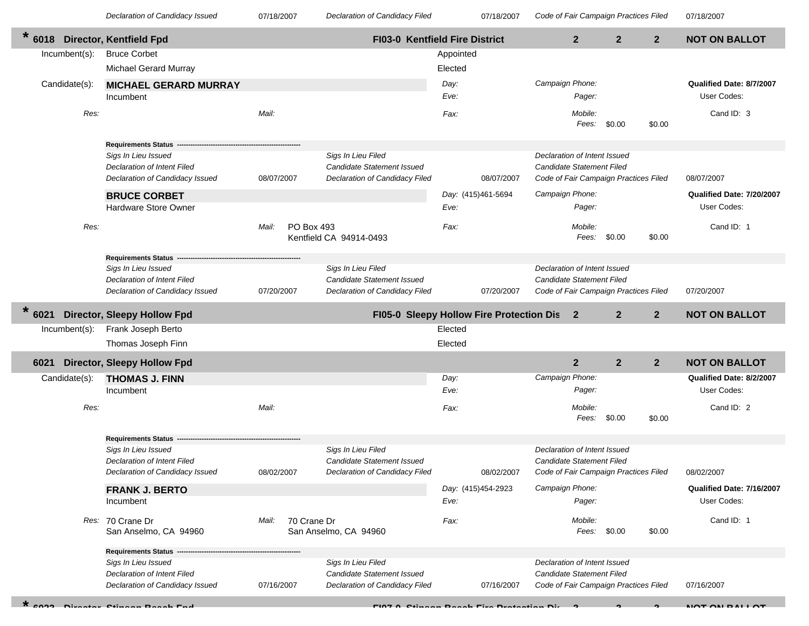07/18/2007

07/18/2007 *Declaration of Candidacy Issued* 07/18/2007 *Declaration of Candidacy Filed Code of Fair Campaign Practices Filed*

| *<br>6018 |               | <b>Director, Kentfield Fpd</b>                                 |                      | FI03-0 Kentfield Fire District                               |           |                    |                                                                    | $\overline{2}$ | $\overline{2}$ | $\mathbf{2}$   | <b>NOT ON BALLOT</b>      |
|-----------|---------------|----------------------------------------------------------------|----------------------|--------------------------------------------------------------|-----------|--------------------|--------------------------------------------------------------------|----------------|----------------|----------------|---------------------------|
|           | Incumbent(s): | <b>Bruce Corbet</b>                                            |                      |                                                              | Appointed |                    |                                                                    |                |                |                |                           |
|           |               | <b>Michael Gerard Murray</b>                                   |                      |                                                              | Elected   |                    |                                                                    |                |                |                |                           |
|           | Candidate(s): | <b>MICHAEL GERARD MURRAY</b>                                   |                      |                                                              | Day:      |                    | Campaign Phone:                                                    |                |                |                | Qualified Date: 8/7/2007  |
|           |               | Incumbent                                                      |                      |                                                              | Eve:      |                    |                                                                    | Pager:         |                |                | User Codes:               |
|           | Res:          |                                                                | Mail:                |                                                              | Fax:      |                    |                                                                    | Mobile:        |                |                | Cand ID: 3                |
|           |               |                                                                |                      |                                                              |           |                    |                                                                    | Fees:          | \$0.00         | \$0.00         |                           |
|           |               | <b>Requirements Status</b>                                     |                      |                                                              |           |                    |                                                                    |                |                |                |                           |
|           |               | Sigs In Lieu Issued                                            |                      | Sigs In Lieu Filed                                           |           |                    | Declaration of Intent Issued                                       |                |                |                |                           |
|           |               | Declaration of Intent Filed                                    |                      | Candidate Statement Issued                                   |           |                    | <b>Candidate Statement Filed</b>                                   |                |                |                |                           |
|           |               | Declaration of Candidacy Issued                                | 08/07/2007           | Declaration of Candidacy Filed                               |           | 08/07/2007         | Code of Fair Campaign Practices Filed                              |                |                |                | 08/07/2007                |
|           |               | <b>BRUCE CORBET</b>                                            |                      |                                                              |           | Day: (415)461-5694 | Campaign Phone:                                                    |                |                |                | Qualified Date: 7/20/2007 |
|           |               | Hardware Store Owner                                           |                      |                                                              | Eve:      |                    |                                                                    | Pager:         |                |                | User Codes:               |
|           | Res:          |                                                                | Mail:                |                                                              |           |                    |                                                                    | Mobile:        |                |                | Cand ID: 1                |
|           |               |                                                                | <b>PO Box 493</b>    | Kentfield CA 94914-0493                                      | Fax:      |                    |                                                                    | Fees:          | \$0.00         | \$0.00         |                           |
|           |               |                                                                |                      |                                                              |           |                    |                                                                    |                |                |                |                           |
|           |               | <b>Requirements Status</b>                                     |                      |                                                              |           |                    |                                                                    |                |                |                |                           |
|           |               | Sigs In Lieu Issued<br>Declaration of Intent Filed             |                      | Sigs In Lieu Filed<br><b>Candidate Statement Issued</b>      |           |                    | Declaration of Intent Issued<br>Candidate Statement Filed          |                |                |                |                           |
|           |               | Declaration of Candidacy Issued                                | 07/20/2007           | Declaration of Candidacy Filed                               |           | 07/20/2007         | Code of Fair Campaign Practices Filed                              |                |                |                | 07/20/2007                |
|           |               |                                                                |                      |                                                              |           |                    |                                                                    |                |                |                |                           |
| 6021      |               | <b>Director, Sleepy Hollow Fpd</b>                             |                      | FI05-0 Sleepy Hollow Fire Protection Dis                     |           |                    |                                                                    | $\mathbf{2}$   | $\mathbf{2}$   | $\overline{2}$ | <b>NOT ON BALLOT</b>      |
|           | Incumbent(s): | Frank Joseph Berto                                             |                      |                                                              | Elected   |                    |                                                                    |                |                |                |                           |
|           |               | Thomas Joseph Finn                                             |                      |                                                              | Elected   |                    |                                                                    |                |                |                |                           |
| 6021      |               | <b>Director, Sleepy Hollow Fpd</b>                             |                      |                                                              |           |                    |                                                                    | $\overline{2}$ | $\overline{2}$ | $\overline{2}$ | <b>NOT ON BALLOT</b>      |
|           | Candidate(s): | <b>THOMAS J. FINN</b>                                          |                      |                                                              | Day:      |                    | Campaign Phone:                                                    |                |                |                | Qualified Date: 8/2/2007  |
|           |               | Incumbent                                                      |                      |                                                              | Eve:      |                    |                                                                    | Pager:         |                |                | User Codes:               |
|           | Res:          |                                                                | Mail:                |                                                              | Fax:      |                    |                                                                    | Mobile:        |                |                | Cand ID: 2                |
|           |               |                                                                |                      |                                                              |           |                    |                                                                    | Fees:          | \$0.00         | \$0.00         |                           |
|           |               | <b>Requirements Status</b>                                     |                      |                                                              |           |                    |                                                                    |                |                |                |                           |
|           |               | Sigs In Lieu Issued                                            |                      | Sigs In Lieu Filed                                           |           |                    | Declaration of Intent Issued                                       |                |                |                |                           |
|           |               | Declaration of Intent Filed<br>Declaration of Candidacy Issued | 08/02/2007           | Candidate Statement Issued<br>Declaration of Candidacy Filed |           | 08/02/2007         | Candidate Statement Filed<br>Code of Fair Campaign Practices Filed |                |                |                | 08/02/2007                |
|           |               | <b>FRANK J. BERTO</b>                                          |                      |                                                              |           | Day: (415)454-2923 | Campaign Phone:                                                    |                |                |                | Qualified Date: 7/16/2007 |
|           |               | Incumbent                                                      |                      |                                                              | Eve:      |                    |                                                                    | Pager:         |                |                | User Codes:               |
|           |               | Res: 70 Crane Dr                                               | Mail:<br>70 Crane Dr |                                                              | Fax:      |                    |                                                                    | Mobile:        |                |                | Cand ID: 1                |
|           |               | San Anselmo, CA 94960                                          |                      | San Anselmo, CA 94960                                        |           |                    |                                                                    | Fees: \$0.00   |                | \$0.00         |                           |
|           |               | <b>Requirements Status</b>                                     |                      |                                                              |           |                    |                                                                    |                |                |                |                           |
|           |               | Sigs In Lieu Issued                                            |                      | Sigs In Lieu Filed                                           |           |                    | Declaration of Intent Issued                                       |                |                |                |                           |
|           |               | Declaration of Intent Filed                                    |                      | Candidate Statement Issued                                   |           |                    | <b>Candidate Statement Filed</b>                                   |                |                |                |                           |
|           |               | Declaration of Candidacy Issued                                | 07/16/2007           | Declaration of Candidacy Filed                               |           | 07/16/2007         | Code of Fair Campaign Practices Filed                              |                |                |                | 07/16/2007                |

Г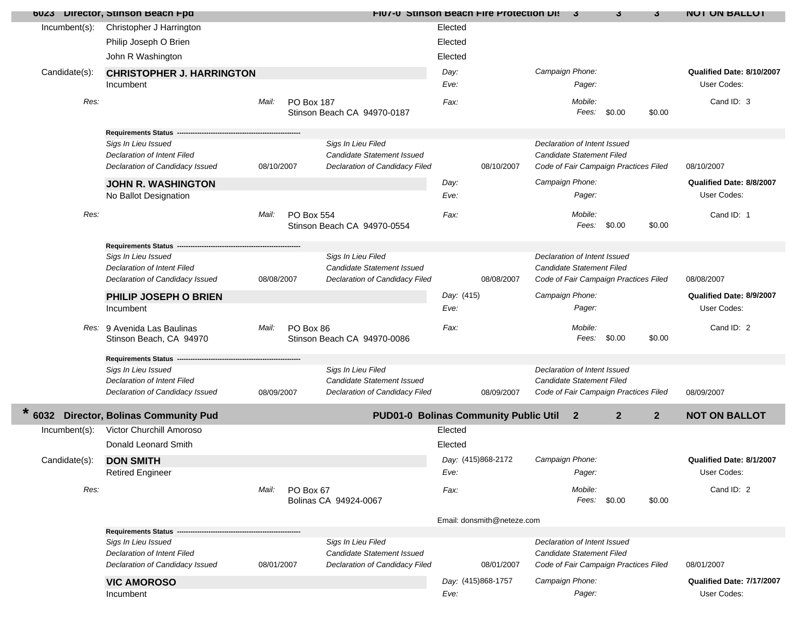|               | 6023 Director, Stinson Beach Fpd                   |            |                   |                                                  |              | <b>FIU/-U Stinson Beach Fire Protection Distri</b> |                                                           | 3                | 3                                     | 3              | <b>NOI ON BALLOI</b>                    |
|---------------|----------------------------------------------------|------------|-------------------|--------------------------------------------------|--------------|----------------------------------------------------|-----------------------------------------------------------|------------------|---------------------------------------|----------------|-----------------------------------------|
| Incumbent(s): | Christopher J Harrington                           |            |                   |                                                  | Elected      |                                                    |                                                           |                  |                                       |                |                                         |
|               | Philip Joseph O Brien                              |            |                   |                                                  | Elected      |                                                    |                                                           |                  |                                       |                |                                         |
|               | John R Washington                                  |            |                   |                                                  | Elected      |                                                    |                                                           |                  |                                       |                |                                         |
| Candidate(s): | <b>CHRISTOPHER J. HARRINGTON</b>                   |            |                   |                                                  | Day:         |                                                    | Campaign Phone:                                           |                  |                                       |                | Qualified Date: 8/10/2007               |
|               | Incumbent                                          |            |                   |                                                  | Eve:         |                                                    |                                                           | Pager:           |                                       |                | User Codes:                             |
| Res:          |                                                    | Mail:      | <b>PO Box 187</b> |                                                  |              |                                                    |                                                           |                  |                                       |                | Cand ID: 3                              |
|               |                                                    |            |                   | Stinson Beach CA 94970-0187                      | Fax:         |                                                    |                                                           | Mobile:<br>Fees: | \$0.00                                | \$0.00         |                                         |
|               |                                                    |            |                   |                                                  |              |                                                    |                                                           |                  |                                       |                |                                         |
|               | <b>Requirements Status --</b>                      |            |                   |                                                  |              |                                                    |                                                           |                  |                                       |                |                                         |
|               | Sigs In Lieu Issued<br>Declaration of Intent Filed |            |                   | Sigs In Lieu Filed<br>Candidate Statement Issued |              |                                                    | Declaration of Intent Issued<br>Candidate Statement Filed |                  |                                       |                |                                         |
|               | Declaration of Candidacy Issued                    | 08/10/2007 |                   | Declaration of Candidacy Filed                   |              | 08/10/2007                                         |                                                           |                  | Code of Fair Campaign Practices Filed |                | 08/10/2007                              |
|               |                                                    |            |                   |                                                  |              |                                                    |                                                           |                  |                                       |                |                                         |
|               | <b>JOHN R. WASHINGTON</b>                          |            |                   |                                                  | Day:<br>Eve: |                                                    | Campaign Phone:                                           | Pager:           |                                       |                | Qualified Date: 8/8/2007<br>User Codes: |
|               | No Ballot Designation                              |            |                   |                                                  |              |                                                    |                                                           |                  |                                       |                |                                         |
| Res:          |                                                    | Mail:      | PO Box 554        |                                                  | Fax:         |                                                    |                                                           | Mobile:          |                                       |                | Cand ID: 1                              |
|               |                                                    |            |                   | Stinson Beach CA 94970-0554                      |              |                                                    |                                                           | Fees:            | \$0.00                                | \$0.00         |                                         |
|               | Requirements Status --                             |            |                   |                                                  |              |                                                    |                                                           |                  |                                       |                |                                         |
|               | Sigs In Lieu Issued                                |            |                   | Sigs In Lieu Filed                               |              |                                                    | Declaration of Intent Issued                              |                  |                                       |                |                                         |
|               | Declaration of Intent Filed                        |            |                   | Candidate Statement Issued                       |              |                                                    | <b>Candidate Statement Filed</b>                          |                  |                                       |                |                                         |
|               | Declaration of Candidacy Issued                    | 08/08/2007 |                   | Declaration of Candidacy Filed                   |              | 08/08/2007                                         |                                                           |                  | Code of Fair Campaign Practices Filed |                | 08/08/2007                              |
|               | PHILIP JOSEPH O BRIEN                              |            |                   |                                                  | Day: (415)   |                                                    | Campaign Phone:                                           |                  |                                       |                | Qualified Date: 8/9/2007                |
|               | Incumbent                                          |            |                   |                                                  | Eve:         |                                                    |                                                           | Pager:           |                                       |                | User Codes:                             |
|               | Res: 9 Avenida Las Baulinas                        | Mail:      | PO Box 86         |                                                  | Fax:         |                                                    |                                                           | Mobile:          |                                       |                | Cand ID: 2                              |
|               | Stinson Beach, CA 94970                            |            |                   | Stinson Beach CA 94970-0086                      |              |                                                    |                                                           | Fees:            | \$0.00                                | \$0.00         |                                         |
|               |                                                    |            |                   |                                                  |              |                                                    |                                                           |                  |                                       |                |                                         |
|               | Requirements Status --<br>Sigs In Lieu Issued      |            |                   | Sigs In Lieu Filed                               |              |                                                    | Declaration of Intent Issued                              |                  |                                       |                |                                         |
|               | Declaration of Intent Filed                        |            |                   | Candidate Statement Issued                       |              |                                                    | <b>Candidate Statement Filed</b>                          |                  |                                       |                |                                         |
|               | Declaration of Candidacy Issued                    | 08/09/2007 |                   | Declaration of Candidacy Filed                   |              | 08/09/2007                                         |                                                           |                  | Code of Fair Campaign Practices Filed |                | 08/09/2007                              |
|               |                                                    |            |                   |                                                  |              |                                                    |                                                           |                  |                                       |                |                                         |
|               | 6032 Director, Bolinas Community Pud               |            |                   |                                                  |              | <b>PUD01-0 Bolinas Community Public Util</b>       |                                                           | $\overline{2}$   | $\overline{2}$                        | $\overline{2}$ | <b>NOT ON BALLOT</b>                    |
| Incumbent(s): | Victor Churchill Amoroso                           |            |                   |                                                  | Elected      |                                                    |                                                           |                  |                                       |                |                                         |
|               | Donald Leonard Smith                               |            |                   |                                                  | Elected      |                                                    |                                                           |                  |                                       |                |                                         |
| Candidate(s): | <b>DON SMITH</b>                                   |            |                   |                                                  |              | Day: (415)868-2172                                 | Campaign Phone:                                           |                  |                                       |                | Qualified Date: 8/1/2007                |
|               | <b>Retired Engineer</b>                            |            |                   |                                                  | Eve:         |                                                    |                                                           | Pager:           |                                       |                | User Codes:                             |
| Res:          |                                                    | Mail:      | PO Box 67         |                                                  | Fax:         |                                                    |                                                           | Mobile:          |                                       |                | Cand ID: 2                              |
|               |                                                    |            |                   | Bolinas CA 94924-0067                            |              |                                                    |                                                           | Fees: \$0.00     |                                       | \$0.00         |                                         |
|               |                                                    |            |                   |                                                  |              |                                                    |                                                           |                  |                                       |                |                                         |
|               | <b>Requirements Status</b>                         |            |                   |                                                  |              | Email: donsmith@neteze.com                         |                                                           |                  |                                       |                |                                         |
|               | Sigs In Lieu Issued                                |            |                   | Sigs In Lieu Filed                               |              |                                                    | Declaration of Intent Issued                              |                  |                                       |                |                                         |
|               | Declaration of Intent Filed                        |            |                   | Candidate Statement Issued                       |              |                                                    | <b>Candidate Statement Filed</b>                          |                  |                                       |                |                                         |
|               | Declaration of Candidacy Issued                    | 08/01/2007 |                   | Declaration of Candidacy Filed                   |              | 08/01/2007                                         |                                                           |                  | Code of Fair Campaign Practices Filed |                | 08/01/2007                              |
|               | <b>VIC AMOROSO</b>                                 |            |                   |                                                  |              | Day: (415)868-1757                                 | Campaign Phone:                                           |                  |                                       |                | Qualified Date: 7/17/2007               |
|               | Incumbent                                          |            |                   |                                                  | Eve:         |                                                    |                                                           | Pager:           |                                       |                | User Codes:                             |
|               |                                                    |            |                   |                                                  |              |                                                    |                                                           |                  |                                       |                |                                         |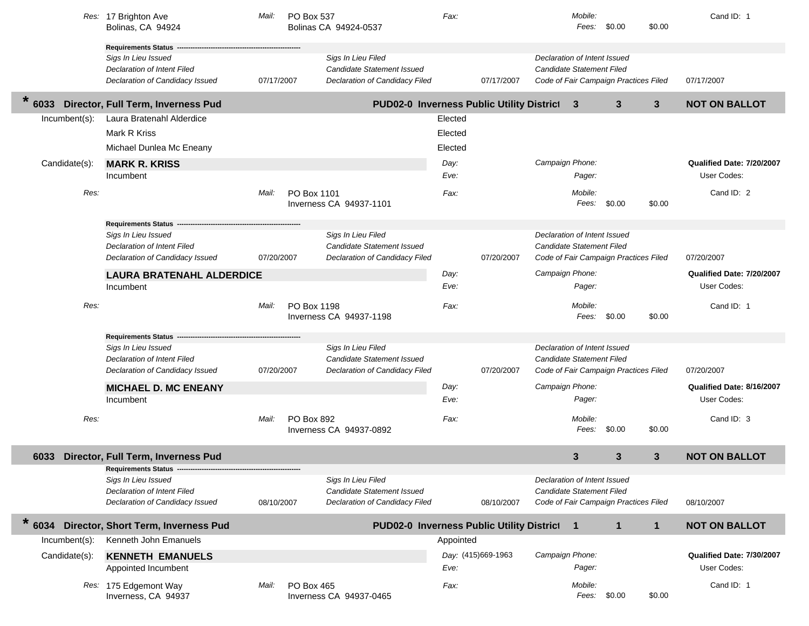|                  | Res: 17 Brighton Ave<br>Bolinas, CA 94924                                                                       | Mail:      | PO Box 537<br>Bolinas CA 94924-0537    |                                                                                    | Fax:      |                    |                                                           | Mobile:<br>Fees: | \$0.00                                | \$0.00       | Cand ID: 1                |
|------------------|-----------------------------------------------------------------------------------------------------------------|------------|----------------------------------------|------------------------------------------------------------------------------------|-----------|--------------------|-----------------------------------------------------------|------------------|---------------------------------------|--------------|---------------------------|
|                  | Requirements Status --<br>Sigs In Lieu Issued<br>Declaration of Intent Filed<br>Declaration of Candidacy Issued | 07/17/2007 |                                        | Sigs In Lieu Filed<br>Candidate Statement Issued<br>Declaration of Candidacy Filed |           | 07/17/2007         | Declaration of Intent Issued<br>Candidate Statement Filed |                  | Code of Fair Campaign Practices Filed |              | 07/17/2007                |
| $\ast$<br>6033   | Director, Full Term, Inverness Pud                                                                              |            |                                        | PUD02-0 Inverness Public Utility District                                          |           |                    |                                                           | 3                | 3                                     | $\mathbf{3}$ | <b>NOT ON BALLOT</b>      |
| $Incumbent(s)$ : | Laura Bratenahl Alderdice                                                                                       |            |                                        |                                                                                    | Elected   |                    |                                                           |                  |                                       |              |                           |
|                  | Mark R Kriss                                                                                                    |            |                                        |                                                                                    | Elected   |                    |                                                           |                  |                                       |              |                           |
|                  | Michael Dunlea Mc Eneany                                                                                        |            |                                        |                                                                                    | Elected   |                    |                                                           |                  |                                       |              |                           |
| Candidate(s):    | <b>MARK R. KRISS</b>                                                                                            |            |                                        |                                                                                    | Day:      |                    | Campaign Phone:                                           |                  |                                       |              | Qualified Date: 7/20/2007 |
|                  | Incumbent                                                                                                       |            |                                        |                                                                                    | Eve:      |                    |                                                           | Pager:           |                                       |              | User Codes:               |
| Res:             |                                                                                                                 | Mail:      | PO Box 1101<br>Inverness CA 94937-1101 |                                                                                    | Fax:      |                    |                                                           | Mobile:<br>Fees: | \$0.00                                | \$0.00       | Cand ID: 2                |
|                  | Requirements Status --                                                                                          |            |                                        |                                                                                    |           |                    |                                                           |                  |                                       |              |                           |
|                  | Sigs In Lieu Issued                                                                                             |            |                                        | Sigs In Lieu Filed                                                                 |           |                    | Declaration of Intent Issued                              |                  |                                       |              |                           |
|                  | Declaration of Intent Filed<br>Declaration of Candidacy Issued                                                  | 07/20/2007 |                                        | <b>Candidate Statement Issued</b><br>Declaration of Candidacy Filed                |           | 07/20/2007         | Candidate Statement Filed                                 |                  | Code of Fair Campaign Practices Filed |              | 07/20/2007                |
|                  | <b>LAURA BRATENAHL ALDERDICE</b>                                                                                |            |                                        |                                                                                    | Day:      |                    | Campaign Phone:                                           |                  |                                       |              | Qualified Date: 7/20/2007 |
|                  | Incumbent                                                                                                       |            |                                        |                                                                                    | Eve:      |                    |                                                           | Pager:           |                                       |              | User Codes:               |
| Res:             |                                                                                                                 | Mail:      | PO Box 1198                            |                                                                                    |           |                    |                                                           | Mobile:          |                                       |              | Cand ID: 1                |
|                  |                                                                                                                 |            | Inverness CA 94937-1198                |                                                                                    | Fax:      |                    |                                                           | Fees:            | \$0.00                                | \$0.00       |                           |
|                  | <b>Requirements Status -</b>                                                                                    |            |                                        |                                                                                    |           |                    |                                                           |                  |                                       |              |                           |
|                  | Sigs In Lieu Issued<br>Declaration of Intent Filed                                                              |            |                                        | Sigs In Lieu Filed<br>Candidate Statement Issued                                   |           |                    | Declaration of Intent Issued<br>Candidate Statement Filed |                  |                                       |              |                           |
|                  | Declaration of Candidacy Issued                                                                                 | 07/20/2007 |                                        | Declaration of Candidacy Filed                                                     |           | 07/20/2007         |                                                           |                  | Code of Fair Campaign Practices Filed |              | 07/20/2007                |
|                  | <b>MICHAEL D. MC ENEANY</b>                                                                                     |            |                                        |                                                                                    | Day:      |                    | Campaign Phone:                                           |                  |                                       |              | Qualified Date: 8/16/2007 |
|                  | Incumbent                                                                                                       |            |                                        |                                                                                    | Eve:      |                    |                                                           | Pager:           |                                       |              | User Codes:               |
| Res:             |                                                                                                                 | Mail:      | PO Box 892<br>Inverness CA 94937-0892  |                                                                                    | Fax:      |                    |                                                           | Mobile:<br>Fees: | \$0.00                                | \$0.00       | Cand ID: 3                |
| 6033             | Director, Full Term, Inverness Pud                                                                              |            |                                        |                                                                                    |           |                    |                                                           | 3                | 3                                     | 3            | <b>NOT ON BALLOT</b>      |
|                  | Requirements Status --------<br>Sigs In Lieu Issued                                                             |            |                                        | Sigs In Lieu Filed                                                                 |           |                    | Declaration of Intent Issued                              |                  |                                       |              |                           |
|                  | <b>Declaration of Intent Filed</b>                                                                              |            |                                        | Candidate Statement Issued                                                         |           |                    | Candidate Statement Filed                                 |                  |                                       |              |                           |
|                  | Declaration of Candidacy Issued                                                                                 | 08/10/2007 |                                        | Declaration of Candidacy Filed                                                     |           | 08/10/2007         |                                                           |                  | Code of Fair Campaign Practices Filed |              | 08/10/2007                |
| $*$ 6034         | Director, Short Term, Inverness Pud                                                                             |            |                                        | PUD02-0 Inverness Public Utility District                                          |           |                    |                                                           | $\mathbf{1}$     | $\mathbf{1}$                          | $\mathbf{1}$ | <b>NOT ON BALLOT</b>      |
| Incumbent(s):    | Kenneth John Emanuels                                                                                           |            |                                        |                                                                                    | Appointed |                    |                                                           |                  |                                       |              |                           |
| Candidate(s):    | <b>KENNETH EMANUELS</b>                                                                                         |            |                                        |                                                                                    |           | Day: (415)669-1963 | Campaign Phone:                                           |                  |                                       |              | Qualified Date: 7/30/2007 |
|                  | Appointed Incumbent                                                                                             |            |                                        |                                                                                    | Eve:      |                    |                                                           | Pager:           |                                       |              | User Codes:               |
|                  | Res: 175 Edgemont Way<br>Inverness, CA 94937                                                                    | Mail:      | PO Box 465<br>Inverness CA 94937-0465  |                                                                                    | Fax:      |                    |                                                           | Mobile:<br>Fees: | \$0.00                                | \$0.00       | Cand ID: 1                |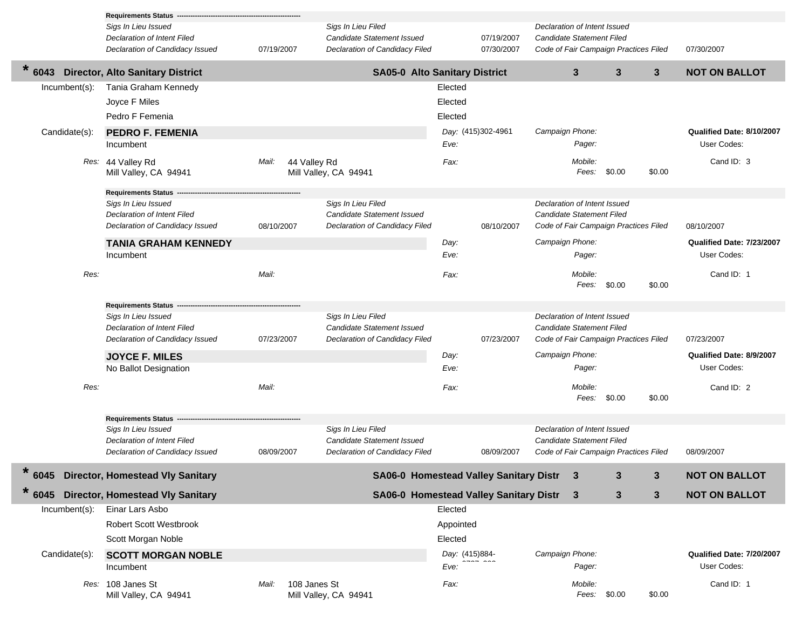|                  | <b>Requirements Status</b>                                            |            |              |                       |                                                                     |                |                                        |                                  |                         |                                       |                |                                         |
|------------------|-----------------------------------------------------------------------|------------|--------------|-----------------------|---------------------------------------------------------------------|----------------|----------------------------------------|----------------------------------|-------------------------|---------------------------------------|----------------|-----------------------------------------|
|                  | Sigs In Lieu Issued                                                   |            |              | Sigs In Lieu Filed    |                                                                     |                |                                        | Declaration of Intent Issued     |                         |                                       |                |                                         |
|                  | Declaration of Intent Filed                                           |            |              |                       | <b>Candidate Statement Issued</b>                                   |                | 07/19/2007                             | Candidate Statement Filed        |                         |                                       |                |                                         |
|                  | Declaration of Candidacy Issued                                       | 07/19/2007 |              |                       | Declaration of Candidacy Filed                                      |                | 07/30/2007                             |                                  |                         | Code of Fair Campaign Practices Filed |                | 07/30/2007                              |
| $\ast$<br>6043   | <b>Director, Alto Sanitary District</b>                               |            |              |                       | <b>SA05-0 Alto Sanitary District</b>                                |                |                                        |                                  | $\mathbf{3}$            | $\mathbf{3}$                          | 3 <sup>2</sup> | <b>NOT ON BALLOT</b>                    |
| Incumbent(s):    | Tania Graham Kennedy                                                  |            |              |                       |                                                                     | Elected        |                                        |                                  |                         |                                       |                |                                         |
|                  | Joyce F Miles                                                         |            |              |                       |                                                                     | Elected        |                                        |                                  |                         |                                       |                |                                         |
|                  | Pedro F Femenia                                                       |            |              |                       |                                                                     | Elected        |                                        |                                  |                         |                                       |                |                                         |
| Candidate(s):    | <b>PEDRO F. FEMENIA</b>                                               |            |              |                       |                                                                     |                | Day: (415)302-4961                     | Campaign Phone:                  |                         |                                       |                | Qualified Date: 8/10/2007               |
|                  | Incumbent                                                             |            |              |                       |                                                                     | Eve:           |                                        |                                  | Pager:                  |                                       |                | User Codes:                             |
|                  | Res: 44 Valley Rd                                                     | Mail:      | 44 Valley Rd |                       |                                                                     | Fax:           |                                        |                                  | Mobile:                 |                                       |                | Cand ID: 3                              |
|                  | Mill Valley, CA 94941                                                 |            |              | Mill Valley, CA 94941 |                                                                     |                |                                        |                                  | Fees:                   | \$0.00                                | \$0.00         |                                         |
|                  |                                                                       |            |              |                       |                                                                     |                |                                        |                                  |                         |                                       |                |                                         |
|                  | <b>Requirements Status</b>                                            |            |              | Sigs In Lieu Filed    |                                                                     |                |                                        | Declaration of Intent Issued     |                         |                                       |                |                                         |
|                  | Sigs In Lieu Issued<br>Declaration of Intent Filed                    |            |              |                       | <b>Candidate Statement Issued</b>                                   |                |                                        | Candidate Statement Filed        |                         |                                       |                |                                         |
|                  | Declaration of Candidacy Issued                                       | 08/10/2007 |              |                       | Declaration of Candidacy Filed                                      |                | 08/10/2007                             |                                  |                         | Code of Fair Campaign Practices Filed |                | 08/10/2007                              |
|                  | <b>TANIA GRAHAM KENNEDY</b>                                           |            |              |                       |                                                                     | Day:           |                                        | Campaign Phone:                  |                         |                                       |                | Qualified Date: 7/23/2007               |
|                  | Incumbent                                                             |            |              |                       |                                                                     | Eve:           |                                        |                                  | Pager:                  |                                       |                | User Codes:                             |
|                  |                                                                       |            |              |                       |                                                                     |                |                                        |                                  |                         |                                       |                |                                         |
| Res:             |                                                                       | Mail:      |              |                       |                                                                     | Fax:           |                                        |                                  | Mobile:<br>Fees: \$0.00 |                                       | \$0.00         | Cand ID: 1                              |
|                  |                                                                       |            |              |                       |                                                                     |                |                                        |                                  |                         |                                       |                |                                         |
|                  | <b>Requirements Status</b>                                            |            |              |                       |                                                                     |                |                                        |                                  |                         |                                       |                |                                         |
|                  | Sigs In Lieu Issued                                                   |            |              | Sigs In Lieu Filed    |                                                                     |                |                                        | Declaration of Intent Issued     |                         |                                       |                |                                         |
|                  | Declaration of Intent Filed<br>Declaration of Candidacy Issued        | 07/23/2007 |              |                       | <b>Candidate Statement Issued</b><br>Declaration of Candidacy Filed |                | 07/23/2007                             | Candidate Statement Filed        |                         | Code of Fair Campaign Practices Filed |                | 07/23/2007                              |
|                  |                                                                       |            |              |                       |                                                                     |                |                                        | Campaign Phone:                  |                         |                                       |                |                                         |
|                  | <b>JOYCE F. MILES</b><br>No Ballot Designation                        |            |              |                       |                                                                     | Day:<br>Eve:   |                                        |                                  | Pager:                  |                                       |                | Qualified Date: 8/9/2007<br>User Codes: |
|                  |                                                                       |            |              |                       |                                                                     |                |                                        |                                  |                         |                                       |                |                                         |
| Res:             |                                                                       | Mail:      |              |                       |                                                                     | Fax:           |                                        |                                  | Mobile:                 |                                       |                | Cand ID: 2                              |
|                  |                                                                       |            |              |                       |                                                                     |                |                                        |                                  | Fees:                   | \$0.00                                | \$0.00         |                                         |
|                  | <b>Requirements Status</b>                                            |            |              |                       |                                                                     |                |                                        |                                  |                         |                                       |                |                                         |
|                  | Sigs In Lieu Issued                                                   |            |              | Sigs In Lieu Filed    |                                                                     |                |                                        | Declaration of Intent Issued     |                         |                                       |                |                                         |
|                  | <b>Declaration of Intent Filed</b><br>Declaration of Candidacy Issued | 08/09/2007 |              |                       | <b>Candidate Statement Issued</b><br>Declaration of Candidacy Filed |                | 08/09/2007                             | <b>Candidate Statement Filed</b> |                         | Code of Fair Campaign Practices Filed |                | 08/09/2007                              |
|                  |                                                                       |            |              |                       |                                                                     |                |                                        |                                  |                         |                                       |                |                                         |
| $\star$<br>6045  | <b>Director, Homestead Vly Sanitary</b>                               |            |              |                       |                                                                     |                | SA06-0 Homestead Valley Sanitary Distr |                                  | 3                       | 3                                     | 3              | <b>NOT ON BALLOT</b>                    |
| 6045             | <b>Director, Homestead Vly Sanitary</b>                               |            |              |                       |                                                                     |                | SA06-0 Homestead Valley Sanitary Distr |                                  | 3                       | 3                                     | $\mathbf 3$    | <b>NOT ON BALLOT</b>                    |
| $Incumbent(s)$ : | Einar Lars Asbo                                                       |            |              |                       |                                                                     | Elected        |                                        |                                  |                         |                                       |                |                                         |
|                  | <b>Robert Scott Westbrook</b>                                         |            |              |                       |                                                                     | Appointed      |                                        |                                  |                         |                                       |                |                                         |
|                  | Scott Morgan Noble                                                    |            |              |                       |                                                                     | Elected        |                                        |                                  |                         |                                       |                |                                         |
| Candidate(s):    | <b>SCOTT MORGAN NOBLE</b>                                             |            |              |                       |                                                                     | Day: (415)884- |                                        | Campaign Phone:                  |                         |                                       |                | Qualified Date: 7/20/2007               |
|                  | Incumbent                                                             |            |              |                       |                                                                     | Eve:           |                                        |                                  | Pager:                  |                                       |                | User Codes:                             |
|                  | Res: 108 Janes St                                                     | Mail:      | 108 Janes St |                       |                                                                     | Fax:           |                                        |                                  | Mobile:                 |                                       |                | Cand ID: 1                              |
|                  | Mill Valley, CA 94941                                                 |            |              | Mill Valley, CA 94941 |                                                                     |                |                                        |                                  | Fees: \$0.00            |                                       | \$0.00         |                                         |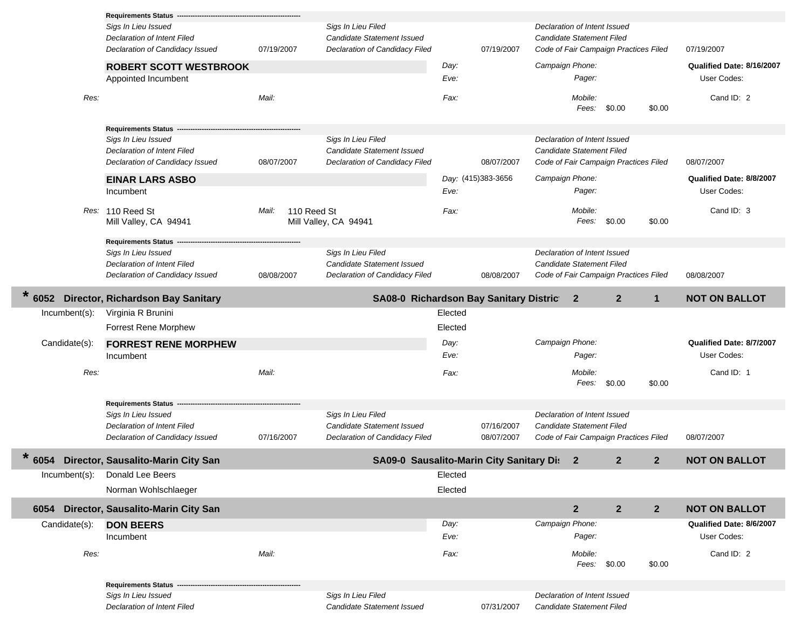|               | <b>Requirements Status</b>                                                            |            |                                                                                           |              |                    |                                                                                                           |                |                |                                          |
|---------------|---------------------------------------------------------------------------------------|------------|-------------------------------------------------------------------------------------------|--------------|--------------------|-----------------------------------------------------------------------------------------------------------|----------------|----------------|------------------------------------------|
|               | Sigs In Lieu Issued<br>Declaration of Intent Filed<br>Declaration of Candidacy Issued | 07/19/2007 | Sigs In Lieu Filed<br><b>Candidate Statement Issued</b><br>Declaration of Candidacy Filed |              | 07/19/2007         | Declaration of Intent Issued<br><b>Candidate Statement Filed</b><br>Code of Fair Campaign Practices Filed |                |                | 07/19/2007                               |
|               | <b>ROBERT SCOTT WESTBROOK</b><br>Appointed Incumbent                                  |            |                                                                                           | Day:<br>Eve: |                    | Campaign Phone:<br>Pager:                                                                                 |                |                | Qualified Date: 8/16/2007<br>User Codes: |
| Res:          |                                                                                       | Mail:      |                                                                                           | Fax:         |                    | Mobile:<br>Fees:                                                                                          | \$0.00         | \$0.00         | Cand ID: 2                               |
|               | Requirements Status -                                                                 |            |                                                                                           |              |                    |                                                                                                           |                |                |                                          |
|               | Sigs In Lieu Issued<br>Declaration of Intent Filed<br>Declaration of Candidacy Issued | 08/07/2007 | Sigs In Lieu Filed<br>Candidate Statement Issued<br>Declaration of Candidacy Filed        |              | 08/07/2007         | Declaration of Intent Issued<br>Candidate Statement Filed<br>Code of Fair Campaign Practices Filed        |                |                | 08/07/2007                               |
|               | <b>EINAR LARS ASBO</b>                                                                |            |                                                                                           |              | Day: (415)383-3656 | Campaign Phone:                                                                                           |                |                | Qualified Date: 8/8/2007                 |
|               | Incumbent                                                                             |            |                                                                                           | Eve:         |                    | Pager:                                                                                                    |                |                | User Codes:                              |
|               | Res: 110 Reed St<br>Mill Valley, CA 94941                                             | Mail:      | 110 Reed St<br>Mill Valley, CA 94941                                                      | Fax:         |                    | Mobile:<br>Fees:                                                                                          | \$0.00         | \$0.00         | Cand ID: 3                               |
|               | <b>Requirements Status</b>                                                            |            |                                                                                           |              |                    |                                                                                                           |                |                |                                          |
|               | Sigs In Lieu Issued                                                                   |            | Sigs In Lieu Filed                                                                        |              |                    | Declaration of Intent Issued                                                                              |                |                |                                          |
|               | Declaration of Intent Filed<br>Declaration of Candidacy Issued                        | 08/08/2007 | Candidate Statement Issued<br>Declaration of Candidacy Filed                              |              | 08/08/2007         | Candidate Statement Filed<br>Code of Fair Campaign Practices Filed                                        |                |                | 08/08/2007                               |
| 6052          | Director, Richardson Bay Sanitary                                                     |            | SA08-0 Richardson Bay Sanitary District                                                   |              |                    | $\mathbf{2}$                                                                                              | $\overline{2}$ | $\mathbf{1}$   | <b>NOT ON BALLOT</b>                     |
| Incumbent(s): | Virginia R Brunini                                                                    |            |                                                                                           | Elected      |                    |                                                                                                           |                |                |                                          |
|               | <b>Forrest Rene Morphew</b>                                                           |            |                                                                                           | Elected      |                    |                                                                                                           |                |                |                                          |
| Candidate(s): | <b>FORREST RENE MORPHEW</b>                                                           |            |                                                                                           | Day:         |                    | Campaign Phone:                                                                                           |                |                | Qualified Date: 8/7/2007                 |
|               | Incumbent                                                                             |            |                                                                                           |              |                    | Pager:                                                                                                    |                |                | User Codes:                              |
|               |                                                                                       |            |                                                                                           | Eve:         |                    |                                                                                                           |                |                |                                          |
| Res:          |                                                                                       | Mail:      |                                                                                           | Fax:         |                    | Mobile:<br>Fees:                                                                                          | \$0.00         | \$0.00         | Cand ID: 1                               |
|               |                                                                                       |            |                                                                                           |              |                    |                                                                                                           |                |                |                                          |
|               | <b>Requirements Status</b><br>Sigs In Lieu Issued                                     |            | Sigs In Lieu Filed                                                                        |              |                    | Declaration of Intent Issued                                                                              |                |                |                                          |
|               | Declaration of Intent Filed                                                           |            | <b>Candidate Statement Issued</b>                                                         |              | 07/16/2007         | <b>Candidate Statement Filed</b>                                                                          |                |                |                                          |
|               | Declaration of Candidacy Issued                                                       | 07/16/2007 | Declaration of Candidacy Filed                                                            |              | 08/07/2007         | Code of Fair Campaign Practices Filed                                                                     |                |                | 08/07/2007                               |
| 6054          | Director, Sausalito-Marin City San                                                    |            | SA09-0 Sausalito-Marin City Sanitary Dis                                                  |              |                    | $\mathbf{2}$                                                                                              | $\mathbf{2}$   | $\mathbf{2}$   | <b>NOT ON BALLOT</b>                     |
| Incumbent(s): | Donald Lee Beers                                                                      |            |                                                                                           | Elected      |                    |                                                                                                           |                |                |                                          |
|               | Norman Wohlschlaeger                                                                  |            |                                                                                           | Elected      |                    |                                                                                                           |                |                |                                          |
| 6054          | Director, Sausalito-Marin City San                                                    |            |                                                                                           |              |                    | $\mathbf{2}$                                                                                              | $\mathbf{2}$   | 2 <sup>2</sup> | <b>NOT ON BALLOT</b>                     |
| Candidate(s): | <b>DON BEERS</b>                                                                      |            |                                                                                           | Day:         |                    | Campaign Phone:                                                                                           |                |                | Qualified Date: 8/6/2007                 |
|               | Incumbent                                                                             |            |                                                                                           | Eve:         |                    | Pager:                                                                                                    |                |                | User Codes:                              |
| Res:          |                                                                                       | Mail:      |                                                                                           | Fax:         |                    | Mobile:                                                                                                   | Fees: \$0.00   | \$0.00         | Cand ID: 2                               |
|               | <b>Requirements Status</b>                                                            |            |                                                                                           |              |                    |                                                                                                           |                |                |                                          |
|               | Sigs In Lieu Issued                                                                   |            | Sigs In Lieu Filed                                                                        |              |                    | Declaration of Intent Issued                                                                              |                |                |                                          |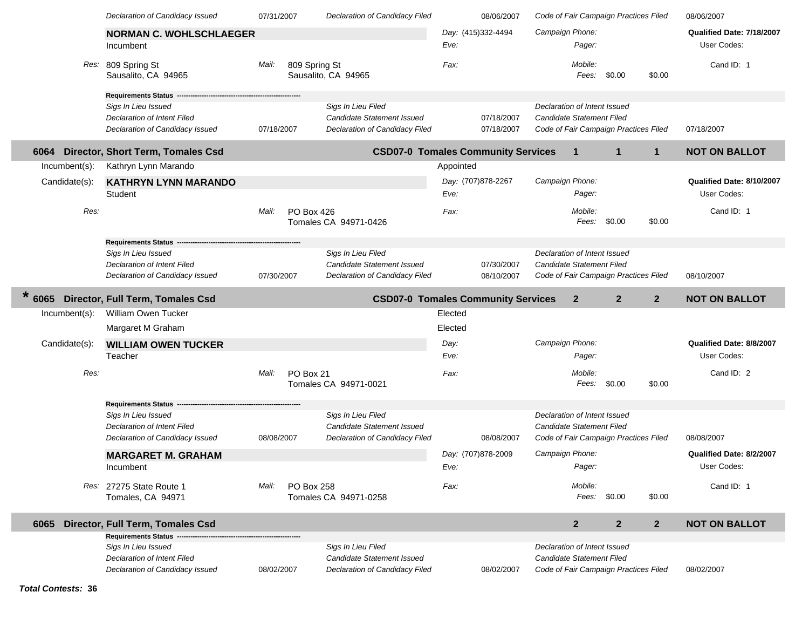|                 | Declaration of Candidacy Issued                   | 07/31/2007 |               | Declaration of Candidacy Filed            |           | 08/06/2007         |                              |              | Code of Fair Campaign Practices Filed |                | 08/06/2007                |
|-----------------|---------------------------------------------------|------------|---------------|-------------------------------------------|-----------|--------------------|------------------------------|--------------|---------------------------------------|----------------|---------------------------|
|                 | <b>NORMAN C. WOHLSCHLAEGER</b>                    |            |               |                                           |           | Day: (415)332-4494 | Campaign Phone:              |              |                                       |                | Qualified Date: 7/18/2007 |
|                 | Incumbent                                         |            |               |                                           | Eve:      |                    |                              | Pager:       |                                       |                | User Codes:               |
| Res:            | 809 Spring St                                     | Mail:      | 809 Spring St |                                           | Fax:      |                    |                              | Mobile:      |                                       |                | Cand ID: 1                |
|                 | Sausalito, CA 94965                               |            |               | Sausalito, CA 94965                       |           |                    |                              | Fees:        | \$0.00                                | \$0.00         |                           |
|                 |                                                   |            |               |                                           |           |                    |                              |              |                                       |                |                           |
|                 | <b>Requirements Status</b><br>Sigs In Lieu Issued |            |               | Sigs In Lieu Filed                        |           |                    | Declaration of Intent Issued |              |                                       |                |                           |
|                 | <b>Declaration of Intent Filed</b>                |            |               | Candidate Statement Issued                |           | 07/18/2007         | Candidate Statement Filed    |              |                                       |                |                           |
|                 | Declaration of Candidacy Issued                   | 07/18/2007 |               | Declaration of Candidacy Filed            |           | 07/18/2007         |                              |              | Code of Fair Campaign Practices Filed |                | 07/18/2007                |
| 6064            | Director, Short Term, Tomales Csd                 |            |               | <b>CSD07-0 Tomales Community Services</b> |           |                    |                              | $\mathbf{1}$ | $\mathbf{1}$                          | $\mathbf{1}$   | <b>NOT ON BALLOT</b>      |
| Incumbent(s):   | Kathryn Lynn Marando                              |            |               |                                           | Appointed |                    |                              |              |                                       |                |                           |
| Candidate(s):   | <b>KATHRYN LYNN MARANDO</b>                       |            |               |                                           |           | Day: (707)878-2267 | Campaign Phone:              |              |                                       |                | Qualified Date: 8/10/2007 |
|                 | Student                                           |            |               |                                           | Eve:      |                    |                              | Pager:       |                                       |                | User Codes:               |
| Res:            |                                                   | Mail:      | PO Box 426    |                                           | Fax:      |                    |                              | Mobile:      |                                       |                | Cand ID: 1                |
|                 |                                                   |            |               | Tomales CA 94971-0426                     |           |                    |                              | Fees:        | \$0.00                                | \$0.00         |                           |
|                 | <b>Requirements Status</b>                        |            |               |                                           |           |                    |                              |              |                                       |                |                           |
|                 | Sigs In Lieu Issued                               |            |               | Sigs In Lieu Filed                        |           |                    | Declaration of Intent Issued |              |                                       |                |                           |
|                 | Declaration of Intent Filed                       |            |               | Candidate Statement Issued                |           | 07/30/2007         | Candidate Statement Filed    |              |                                       |                |                           |
|                 | Declaration of Candidacy Issued                   | 07/30/2007 |               | Declaration of Candidacy Filed            |           | 08/10/2007         |                              |              | Code of Fair Campaign Practices Filed |                | 08/10/2007                |
| $\star$<br>6065 | Director, Full Term, Tomales Csd                  |            |               | <b>CSD07-0 Tomales Community Services</b> |           |                    |                              | $\mathbf{2}$ | $\overline{2}$                        | $\overline{2}$ | <b>NOT ON BALLOT</b>      |
| Incumbent(s):   | <b>William Owen Tucker</b>                        |            |               |                                           | Elected   |                    |                              |              |                                       |                |                           |
|                 |                                                   |            |               |                                           |           |                    |                              |              |                                       |                |                           |
|                 | Margaret M Graham                                 |            |               |                                           | Elected   |                    |                              |              |                                       |                |                           |
| Candidate(s):   | <b>WILLIAM OWEN TUCKER</b>                        |            |               |                                           | Day:      |                    | Campaign Phone:              |              |                                       |                | Qualified Date: 8/8/2007  |
|                 | Teacher                                           |            |               |                                           | Eve:      |                    |                              | Pager:       |                                       |                | User Codes:               |
| Res:            |                                                   | Mail:      | PO Box 21     |                                           | Fax:      |                    |                              | Mobile:      |                                       |                | Cand ID: 2                |
|                 |                                                   |            |               | Tomales CA 94971-0021                     |           |                    |                              | Fees:        | \$0.00                                | \$0.00         |                           |
|                 | <b>Requirements Status</b>                        |            |               |                                           |           |                    |                              |              |                                       |                |                           |
|                 | Sigs In Lieu Issued                               |            |               | Sigs In Lieu Filed                        |           |                    | Declaration of Intent Issued |              |                                       |                |                           |
|                 | Declaration of Intent Filed                       |            |               | <b>Candidate Statement Issued</b>         |           |                    | Candidate Statement Filed    |              |                                       |                |                           |
|                 | Declaration of Candidacy Issued                   | 08/08/2007 |               | Declaration of Candidacy Filed            |           | 08/08/2007         |                              |              | Code of Fair Campaign Practices Filed |                | 08/08/2007                |
|                 | <b>MARGARET M. GRAHAM</b>                         |            |               |                                           |           | Day: (707)878-2009 | Campaign Phone:              |              |                                       |                | Qualified Date: 8/2/2007  |
|                 | Incumbent                                         |            |               |                                           | Eve:      |                    |                              | Pager:       |                                       |                | User Codes:               |
|                 | Res: 27275 State Route 1                          | Mail:      | PO Box 258    |                                           | Fax:      |                    |                              | Mobile:      |                                       |                | Cand ID: 1                |
|                 | Tomales, CA 94971                                 |            |               | Tomales CA 94971-0258                     |           |                    |                              | Fees:        | \$0.00                                | \$0.00         |                           |
|                 |                                                   |            |               |                                           |           |                    |                              |              |                                       |                |                           |
| 6065            | Director, Full Term, Tomales Csd                  |            |               |                                           |           |                    |                              | $\mathbf{2}$ | $\overline{2}$                        | $\overline{2}$ | <b>NOT ON BALLOT</b>      |
|                 | Requirements Status --<br>Sigs In Lieu Issued     |            |               | Sigs In Lieu Filed                        |           |                    | Declaration of Intent Issued |              |                                       |                |                           |
|                 | Declaration of Intent Filed                       |            |               | <b>Candidate Statement Issued</b>         |           |                    | Candidate Statement Filed    |              |                                       |                |                           |
|                 | Declaration of Candidacy Issued                   | 08/02/2007 |               | Declaration of Candidacy Filed            |           | 08/02/2007         |                              |              | Code of Fair Campaign Practices Filed |                | 08/02/2007                |